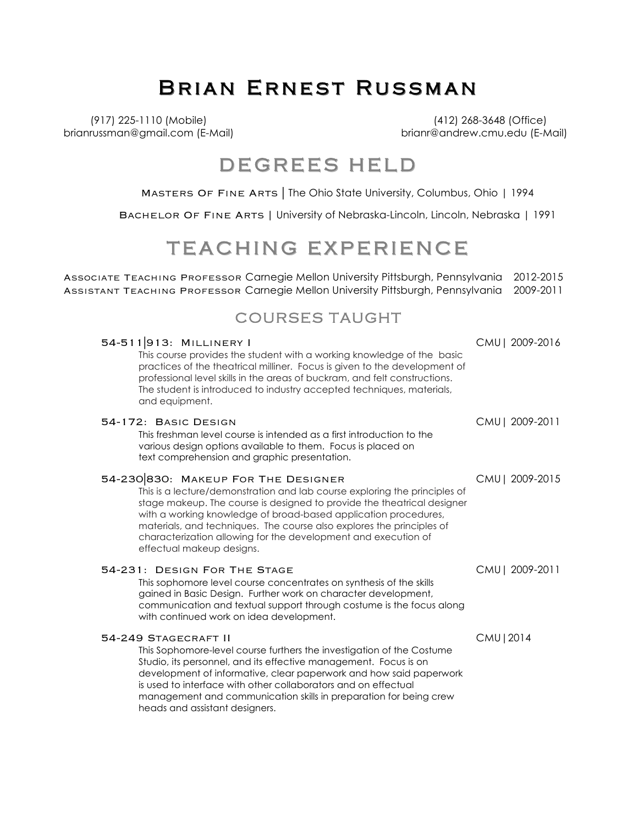# BRIAN ERNEST RUSSMAN

(917) 225-1110 (Mobile) (412) 268-3648 (Office) brianrussman@gmail.com (E-Mail) brianr@andrew.cmu.edu (E-Mail)

### DEGREES HELD

Masters Of Fine Arts | The Ohio State University, Columbus, Ohio | 1994

Bachelor Of Fine Arts **|** University of Nebraska-Lincoln, Lincoln, Nebraska | 1991

### TEACHING EXPERIENCE

Associate Teaching Professor Carnegie Mellon University Pittsburgh, Pennsylvania 2012-2015 Assistant Teaching Professor Carnegie Mellon University Pittsburgh, Pennsylvania 2009-2011

### COURSES TAUGHT

| 54-511913: MILLINERY I<br>This course provides the student with a working knowledge of the basic<br>practices of the theatrical milliner. Focus is given to the development of<br>professional level skills in the areas of buckram, and felt constructions.<br>The student is introduced to industry accepted techniques, materials,<br>and equipment.                                                                                 | CMU   2009-2016 |
|-----------------------------------------------------------------------------------------------------------------------------------------------------------------------------------------------------------------------------------------------------------------------------------------------------------------------------------------------------------------------------------------------------------------------------------------|-----------------|
| 54-172: BASIC DESIGN<br>This freshman level course is intended as a first introduction to the<br>various design options available to them. Focus is placed on<br>text comprehension and graphic presentation.                                                                                                                                                                                                                           | CMU   2009-2011 |
| 54-230 830: MAKEUP FOR THE DESIGNER<br>This is a lecture/demonstration and lab course exploring the principles of<br>stage makeup. The course is designed to provide the theatrical designer<br>with a working knowledge of broad-based application procedures,<br>materials, and techniques. The course also explores the principles of<br>characterization allowing for the development and execution of<br>effectual makeup designs. | CMU   2009-2015 |
| 54-231: DESIGN FOR THE STAGE<br>This sophomore level course concentrates on synthesis of the skills<br>gained in Basic Design. Further work on character development,<br>communication and textual support through costume is the focus along<br>with continued work on idea development.                                                                                                                                               | CMU   2009-2011 |
| 54-249 STAGECRAFT II<br>This Sophomore-level course furthers the investigation of the Costume<br>Studio, its personnel, and its effective management. Focus is on<br>development of informative, clear paperwork and how said paperwork<br>is used to interface with other collaborators and on effectual<br>management and communication skills in preparation for being crew<br>heads and assistant designers.                        | CMU   2014      |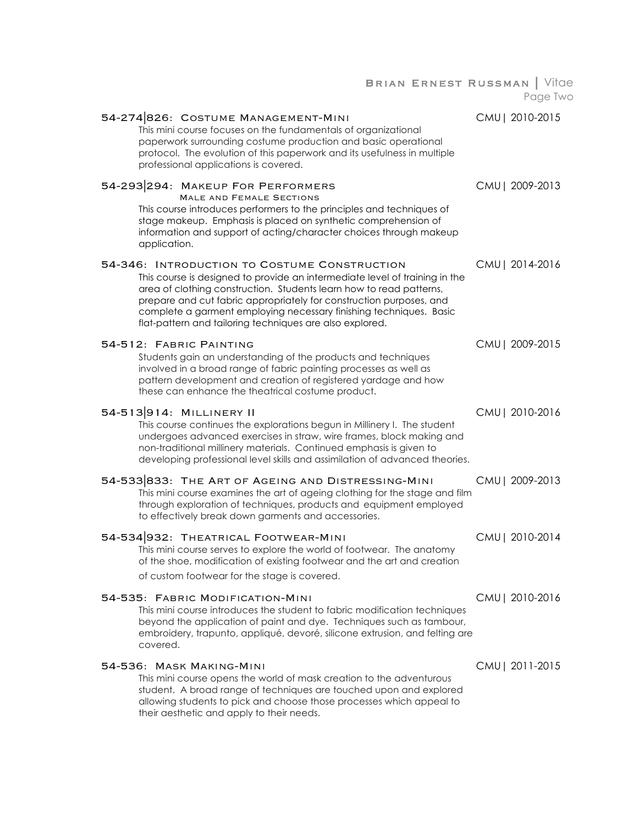| BRIAN ERNEST RUSSMAN   Vitae                                                                                                                                                                                                                                                                                                                                                                                | Page Two        |
|-------------------------------------------------------------------------------------------------------------------------------------------------------------------------------------------------------------------------------------------------------------------------------------------------------------------------------------------------------------------------------------------------------------|-----------------|
| 54-274826: COSTUME MANAGEMENT-MINI<br>This mini course focuses on the fundamentals of organizational<br>paperwork surrounding costume production and basic operational<br>protocol. The evolution of this paperwork and its usefulness in multiple<br>professional applications is covered.                                                                                                                 | CMU   2010-2015 |
| 54-293 294: MAKEUP FOR PERFORMERS<br><b>MALE AND FEMALE SECTIONS</b><br>This course introduces performers to the principles and techniques of<br>stage makeup. Emphasis is placed on synthetic comprehension of<br>information and support of acting/character choices through makeup<br>application.                                                                                                       | CMU   2009-2013 |
| 54-346: INTRODUCTION TO COSTUME CONSTRUCTION<br>This course is designed to provide an intermediate level of training in the<br>area of clothing construction. Students learn how to read patterns,<br>prepare and cut fabric appropriately for construction purposes, and<br>complete a garment employing necessary finishing techniques. Basic<br>flat-pattern and tailoring techniques are also explored. | CMU   2014-2016 |
| 54-512: FABRIC PAINTING<br>Students gain an understanding of the products and techniques<br>involved in a broad range of fabric painting processes as well as<br>pattern development and creation of registered yardage and how<br>these can enhance the theatrical costume product.                                                                                                                        | CMU   2009-2015 |
| 54-513914: MILLINERY II<br>This course continues the explorations begun in Millinery I. The student<br>undergoes advanced exercises in straw, wire frames, block making and<br>non-traditional millinery materials. Continued emphasis is given to<br>developing professional level skills and assimilation of advanced theories.                                                                           | CMU   2010-2016 |
| 54-533833: THE ART OF AGEING AND DISTRESSING-MINI<br>This mini course examines the art of ageing clothing for the stage and film<br>through exploration of techniques, products and equipment employed<br>to effectively break down garments and accessories.                                                                                                                                               | CMU   2009-2013 |
| 54-534 932: THEATRICAL FOOTWEAR-MINI<br>This mini course serves to explore the world of footwear. The anatomy<br>of the shoe, modification of existing footwear and the art and creation<br>of custom footwear for the stage is covered.                                                                                                                                                                    | CMU   2010-2014 |
| 54-535: FABRIC MODIFICATION-MINI<br>This mini course introduces the student to fabric modification techniques<br>beyond the application of paint and dye. Techniques such as tambour,<br>embroidery, trapunto, appliqué, devoré, silicone extrusion, and felting are<br>covered.                                                                                                                            | CMU   2010-2016 |
| 54-536: MASK MAKING-MINI<br>This mini course opens the world of mask creation to the adventurous<br>student. A broad range of techniques are touched upon and explored<br>allowing students to pick and choose those processes which appeal to<br>their aesthetic and apply to their needs.                                                                                                                 | CMU   2011-2015 |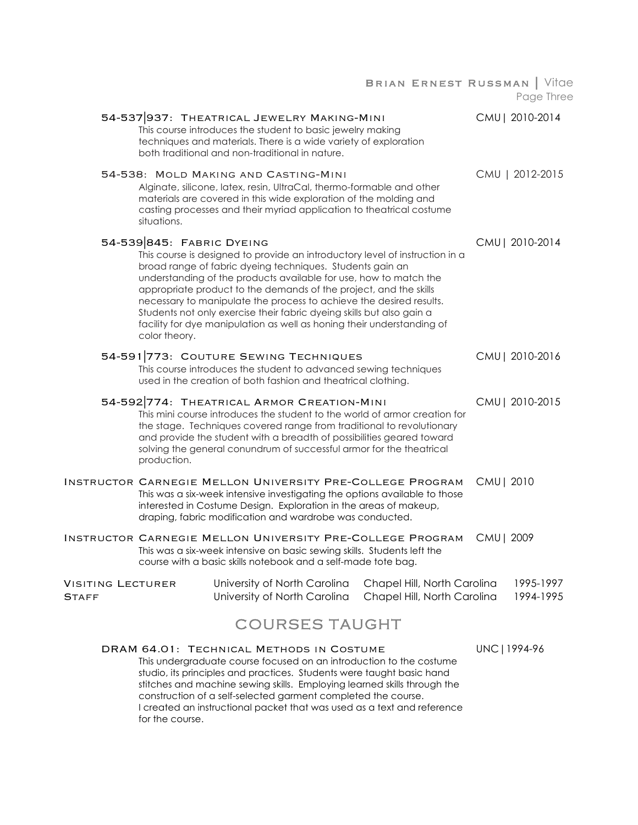Brian Ernest Russman | Vitae Page Three 54-537|937: Theatrical Jewelry Making-Mini CMU| 2010-2014 This course introduces the student to basic jewelry making techniques and materials. There is a wide variety of exploration both traditional and non-traditional in nature. 54-538: Mold Making and Casting-Mini CMU | 2012-2015 Alginate, silicone, latex, resin, UltraCal, thermo-formable and other materials are covered in this wide exploration of the molding and casting processes and their myriad application to theatrical costume situations. 54-539|845: Fabric Dyeing CMU| 2010-2014 This course is designed to provide an introductory level of instruction in a broad range of fabric dyeing techniques. Students gain an understanding of the products available for use, how to match the appropriate product to the demands of the project, and the skills necessary to manipulate the process to achieve the desired results. Students not only exercise their fabric dyeing skills but also gain a facility for dye manipulation as well as honing their understanding of color theory. 54-591|773: Couture Sewing Techniques CMU| 2010-2016 This course introduces the student to advanced sewing techniques used in the creation of both fashion and theatrical clothing. 54-592|774: Theatrical Armor Creation-Mini CMU| 2010-2015 This mini course introduces the student to the world of armor creation for the stage. Techniques covered range from traditional to revolutionary and provide the student with a breadth of possibilities geared toward solving the general conundrum of successful armor for the theatrical production. Instructor Carnegie Mellon University Pre-College Program CMU| 2010 This was a six-week intensive investigating the options available to those interested in Costume Design. Exploration in the areas of makeup, draping, fabric modification and wardrobe was conducted. Instructor Carnegie Mellon University Pre-College Program CMU| 2009 This was a six-week intensive on basic sewing skills. Students left the course with a basic skills notebook and a self-made tote bag. VISITING LECTURER University of North Carolina Chapel Hill, North Carolina 1995-1997<br>Staff University of North Carolina Chapel Hill, North Carolina 1994-1995 STAFF **Initially STAFF** University of North Carolina Chapel Hill, North Carolina COURSES TAUGHT DRAM 64.01: TECHNICAL METHODS IN COSTUME UNC | 1994-96 This undergraduate course focused on an introduction to the costume studio, its principles and practices. Students were taught basic hand stitches and machine sewing skills. Employing learned skills through the construction of a self-selected garment completed the course.

I created an instructional packet that was used as a text and reference for the course.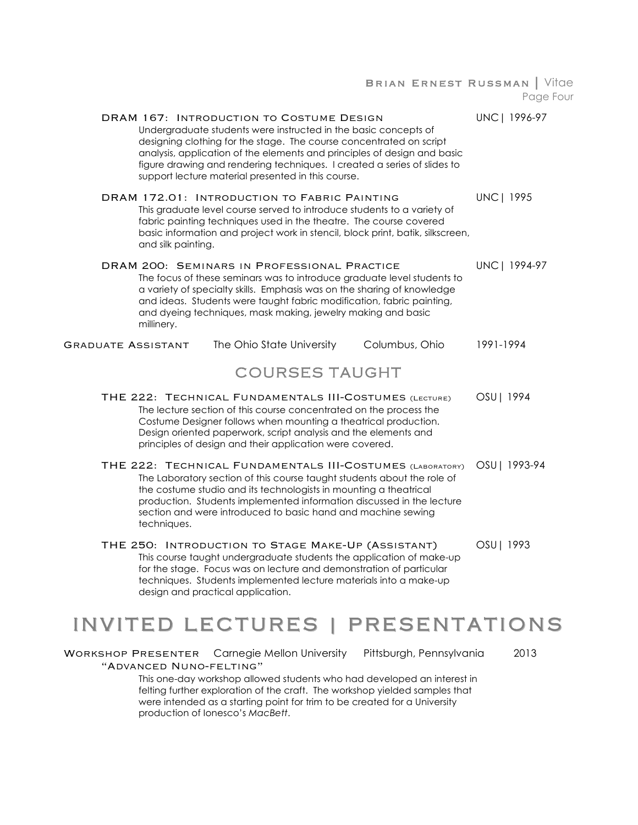Brian Ernest Russman | Vitae Page Four

| DRAM 167: INTRODUCTION TO COSTUME DESIGN<br>Undergraduate students were instructed in the basic concepts of<br>designing clothing for the stage. The course concentrated on script<br>analysis, application of the elements and principles of design and basic<br>figure drawing and rendering techniques. I created a series of slides to<br>support lecture material presented in this course. | UNC   1996-97     |
|--------------------------------------------------------------------------------------------------------------------------------------------------------------------------------------------------------------------------------------------------------------------------------------------------------------------------------------------------------------------------------------------------|-------------------|
| DRAM 172.01: INTRODUCTION TO FABRIC PAINTING<br>This graduate level course served to introduce students to a variety of<br>fabric painting techniques used in the theatre. The course covered<br>basic information and project work in stencil, block print, batik, silkscreen,<br>and silk painting.                                                                                            | <b>UNC   1995</b> |
| DRAM 200: SEMINARS IN PROFESSIONAL PRACTICE<br>The focus of these seminars was to introduce graduate level students to<br>a variety of specialty skills. Emphasis was on the sharing of knowledge<br>and ideas. Students were taught fabric modification, fabric painting,<br>and dyeing techniques, mask making, jewelry making and basic<br>millinery.                                         | UNC   1994-97     |
| Columbus, Ohio<br>The Ohio State University<br><b>GRADUATE ASSISTANT</b>                                                                                                                                                                                                                                                                                                                         | 1991-1994         |
| <b>COURSES TAUGHT</b>                                                                                                                                                                                                                                                                                                                                                                            |                   |
| THE 222: TECHNICAL FUNDAMENTALS III-COSTUMES (LECTURE)<br>The lecture section of this course concentrated on the process the<br>Costume Designer follows when mounting a theatrical production.<br>Design oriented paperwork, script analysis and the elements and<br>principles of design and their application were covered.                                                                   | OSU   1994        |
| THE 222: TECHNICAL FUNDAMENTALS III-COSTUMES (LABORATORY)<br>The Laboratory section of this course taught students about the role of<br>the costume studio and its technologists in mounting a theatrical<br>production. Students implemented information discussed in the lecture<br>section and were introduced to basic hand and machine sewing<br>techniques.                                | OSU   1993-94     |
| THE 250: INTRODUCTION TO STAGE MAKE-UP (ASSISTANT)<br>This course taught undergraduate students the application of make-up<br>for the stage. Focus was on lecture and demonstration of particular<br>techniques. Students implemented lecture materials into a make-up<br>design and practical application.                                                                                      | OSU   1993        |

# INVITED LECTURES | PRESENTATIONS INVITED LECTURES | PRESENTATIONS

WORKSHOP PRESENTER Carnegie Mellon University Pittsburgh, Pennsylvania 2013 "Advanced Nuno-felting"

> This one-day workshop allowed students who had developed an interest in felting further exploration of the craft. The workshop yielded samples that were intended as a starting point for trim to be created for a University production of Ionesco's *MacBett*.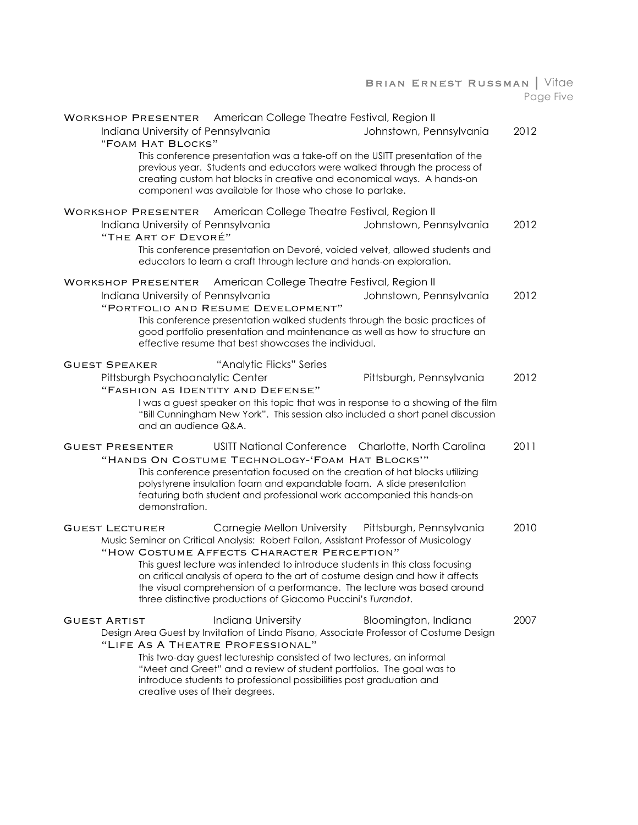#### Brian Ernest Russman | Vitae Page Five

|                           | Indiana University of Pennsylvania<br>"FOAM HAT BLOCKS"   | WORKSHOP PRESENTER American College Theatre Festival, Region II<br>This conference presentation was a take-off on the USITT presentation of the<br>previous year. Students and educators were walked through the process of<br>creating custom hat blocks in creative and economical ways. A hands-on<br>component was available for those who chose to partake.                                                                                                             | Johnstown, Pennsylvania                                                                                                                                                                          | 2012 |
|---------------------------|-----------------------------------------------------------|------------------------------------------------------------------------------------------------------------------------------------------------------------------------------------------------------------------------------------------------------------------------------------------------------------------------------------------------------------------------------------------------------------------------------------------------------------------------------|--------------------------------------------------------------------------------------------------------------------------------------------------------------------------------------------------|------|
| <b>WORKSHOP PRESENTER</b> | Indiana University of Pennsylvania<br>"THE ART OF DEVORÉ" | American College Theatre Festival, Region II<br>This conference presentation on Devoré, voided velvet, allowed students and<br>educators to learn a craft through lecture and hands-on exploration.                                                                                                                                                                                                                                                                          | Johnstown, Pennsylvania                                                                                                                                                                          | 2012 |
| <b>WORKSHOP PRESENTER</b> | Indiana University of Pennsylvania                        | American College Theatre Festival, Region II<br>"PORTFOLIO AND RESUME DEVELOPMENT"<br>This conference presentation walked students through the basic practices of<br>good portfolio presentation and maintenance as well as how to structure an<br>effective resume that best showcases the individual.                                                                                                                                                                      | Johnstown, Pennsylvania                                                                                                                                                                          | 2012 |
| <b>GUEST SPEAKER</b>      | Pittsburgh Psychoanalytic Center<br>and an audience Q&A.  | "Analytic Flicks" Series<br>"FASHION AS IDENTITY AND DEFENSE"                                                                                                                                                                                                                                                                                                                                                                                                                | Pittsburgh, Pennsylvania<br>I was a guest speaker on this topic that was in response to a showing of the film<br>"Bill Cunningham New York". This session also included a short panel discussion | 2012 |
| <b>GUEST PRESENTER</b>    | demonstration.                                            | USITT National Conference Charlotte, North Carolina<br>"HANDS ON COSTUME TECHNOLOGY-'FOAM HAT BLOCKS'"<br>This conference presentation focused on the creation of hat blocks utilizing<br>polystyrene insulation foam and expandable foam. A slide presentation<br>featuring both student and professional work accompanied this hands-on                                                                                                                                    |                                                                                                                                                                                                  | 2011 |
| <b>GUEST LECTURER</b>     |                                                           | Carnegie Mellon University<br>Music Seminar on Critical Analysis: Robert Fallon, Assistant Professor of Musicology<br>"HOW COSTUME AFFECTS CHARACTER PERCEPTION"<br>This guest lecture was intended to introduce students in this class focusing<br>on critical analysis of opera to the art of costume design and how it affects<br>the visual comprehension of a performance. The lecture was based around<br>three distinctive productions of Giacomo Puccini's Turandot. | Pittsburgh, Pennsylvania                                                                                                                                                                         | 2010 |
| <b>GUEST ARTIST</b>       | creative uses of their degrees.                           | <b>Indiana University</b><br>"LIFE AS A THEATRE PROFESSIONAL"<br>This two-day guest lectureship consisted of two lectures, an informal<br>"Meet and Greet" and a review of student portfolios. The goal was to<br>introduce students to professional possibilities post graduation and                                                                                                                                                                                       | Bloomington, Indiana<br>Design Area Guest by Invitation of Linda Pisano, Associate Professor of Costume Design                                                                                   | 2007 |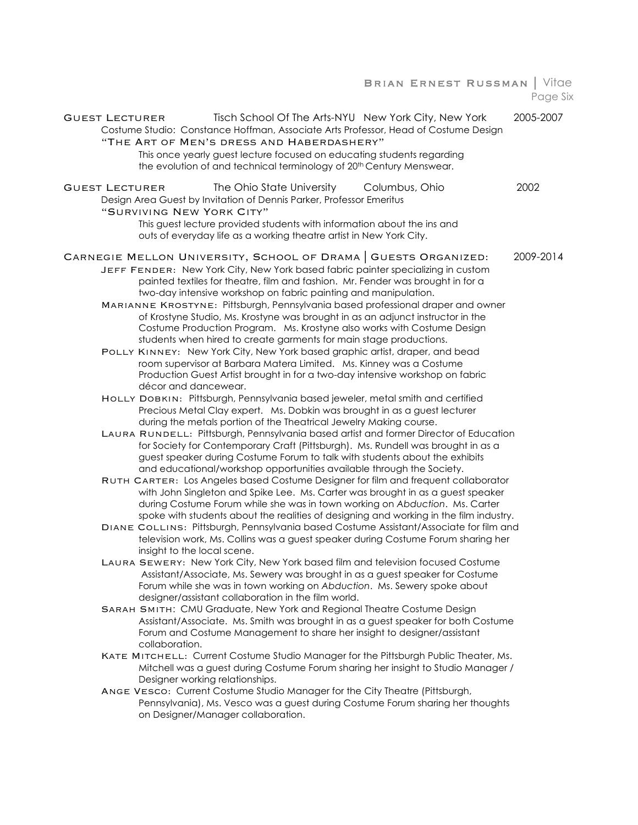#### Brian Ernest Russman | Vitae Page Six

| Tisch School Of The Arts-NYU New York City, New York<br><b>GUEST LECTURER</b><br>Costume Studio: Constance Hoffman, Associate Arts Professor, Head of Costume Design<br>"THE ART OF MEN'S DRESS AND HABERDASHERY" | 2005-2007 |
|-------------------------------------------------------------------------------------------------------------------------------------------------------------------------------------------------------------------|-----------|
| This once yearly guest lecture focused on educating students regarding<br>the evolution of and technical terminology of 20 <sup>th</sup> Century Menswear.                                                        |           |
| The Ohio State University<br>Columbus, Ohio<br>GUEST LECTURER<br>Design Area Guest by Invitation of Dennis Parker, Professor Emeritus<br>"SURVIVING NEW YORK CITY"                                                | 2002      |
| This guest lecture provided students with information about the ins and<br>outs of everyday life as a working theatre artist in New York City.                                                                    |           |
| CARNEGIE MELLON UNIVERSITY, SCHOOL OF DRAMA   GUESTS ORGANIZED:                                                                                                                                                   | 2009-2014 |
| JEFF FENDER: New York City, New York based fabric painter specializing in custom<br>painted textiles for theatre, film and fashion. Mr. Fender was brought in for a                                               |           |
| two-day intensive workshop on fabric painting and manipulation.<br>MARIANNE KROSTYNE: Pittsburgh, Pennsylvania based professional draper and owner                                                                |           |
| of Krostyne Studio, Ms. Krostyne was brought in as an adjunct instructor in the                                                                                                                                   |           |
| Costume Production Program. Ms. Krostyne also works with Costume Design                                                                                                                                           |           |
| students when hired to create garments for main stage productions.                                                                                                                                                |           |
| POLLY KINNEY: New York City, New York based graphic artist, draper, and bead                                                                                                                                      |           |
| room supervisor at Barbara Matera Limited. Ms. Kinney was a Costume                                                                                                                                               |           |
| Production Guest Artist brought in for a two-day intensive workshop on fabric                                                                                                                                     |           |
| décor and dancewear.<br>HOLLY DOBKIN: Pittsburgh, Pennsylvania based jeweler, metal smith and certified                                                                                                           |           |
| Precious Metal Clay expert. Ms. Dobkin was brought in as a guest lecturer                                                                                                                                         |           |
| during the metals portion of the Theatrical Jewelry Making course.                                                                                                                                                |           |
| LAURA RUNDELL: Pittsburgh, Pennsylvania based artist and former Director of Education                                                                                                                             |           |
| for Society for Contemporary Craft (Pittsburgh). Ms. Rundell was brought in as a                                                                                                                                  |           |
| guest speaker during Costume Forum to talk with students about the exhibits                                                                                                                                       |           |
| and educational/workshop opportunities available through the Society.                                                                                                                                             |           |
| RUTH CARTER: Los Angeles based Costume Designer for film and frequent collaborator<br>with John Singleton and Spike Lee. Ms. Carter was brought in as a guest speaker                                             |           |
| during Costume Forum while she was in town working on Abduction. Ms. Carter                                                                                                                                       |           |
| spoke with students about the realities of designing and working in the film industry.                                                                                                                            |           |
| DIANE COLLINS: Pittsburgh, Pennsylvania based Costume Assistant/Associate for film and                                                                                                                            |           |
| television work, Ms. Collins was a guest speaker during Costume Forum sharing her<br>insight to the local scene.                                                                                                  |           |
| LAURA SEWERY: New York City, New York based film and television focused Costume                                                                                                                                   |           |
| Assistant/Associate, Ms. Sewery was brought in as a guest speaker for Costume<br>Forum while she was in town working on Abduction. Ms. Sewery spoke about<br>designer/assistant collaboration in the film world.  |           |
| SARAH SMITH: CMU Graduate, New York and Regional Theatre Costume Design                                                                                                                                           |           |
| Assistant/Associate. Ms. Smith was brought in as a guest speaker for both Costume                                                                                                                                 |           |
| Forum and Costume Management to share her insight to designer/assistant<br>collaboration.                                                                                                                         |           |
| KATE MITCHELL: Current Costume Studio Manager for the Pittsburgh Public Theater, Ms.                                                                                                                              |           |
| Mitchell was a guest during Costume Forum sharing her insight to Studio Manager /<br>Designer working relationships.                                                                                              |           |
| ANGE VESCO: Current Costume Studio Manager for the City Theatre (Pittsburgh,                                                                                                                                      |           |
| Pennsylvania), Ms. Vesco was a guest during Costume Forum sharing her thoughts<br>on Designer/Manager collaboration.                                                                                              |           |
|                                                                                                                                                                                                                   |           |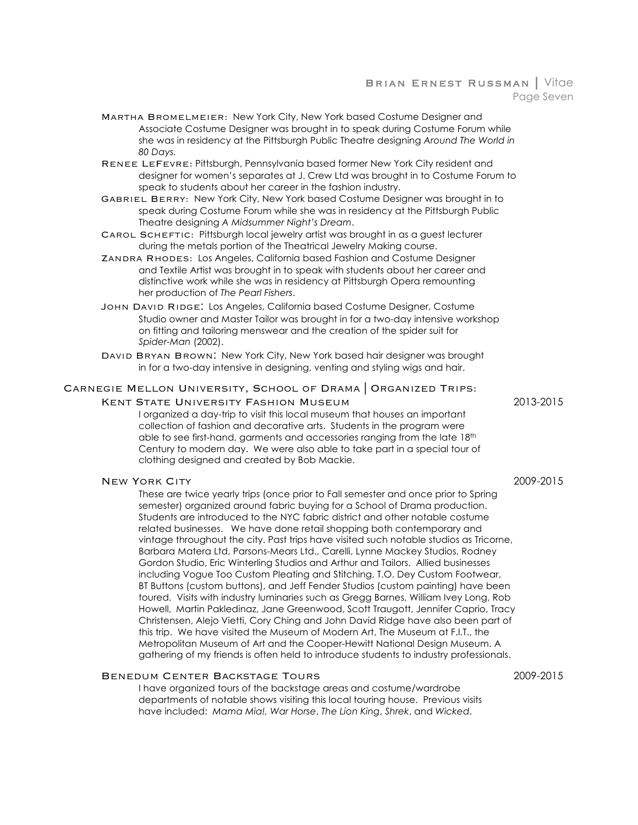#### Brian Ernest Russman | Vitae Page Seven

- Martha Bromelmeier: New York City, New York based Costume Designer and Associate Costume Designer was brought in to speak during Costume Forum while she was in residency at the Pittsburgh Public Theatre designing *Around The World in 80 Days.*
- Renee LeFevre: Pittsburgh, Pennsylvania based former New York City resident and designer for women's separates at J. Crew Ltd was brought in to Costume Forum to speak to students about her career in the fashion industry.
- Gabriel Berry: New York City, New York based Costume Designer was brought in to speak during Costume Forum while she was in residency at the Pittsburgh Public Theatre designing *A Midsummer Night's Dream*.
- Carol Scheftic: Pittsburgh local jewelry artist was brought in as a guest lecturer during the metals portion of the Theatrical Jewelry Making course.
- Zandra Rhodes: Los Angeles, California based Fashion and Costume Designer and Textile Artist was brought in to speak with students about her career and distinctive work while she was in residency at Pittsburgh Opera remounting her production of *The Pearl Fishers*.
- John David Ridge: Los Angeles, California based Costume Designer, Costume Studio owner and Master Tailor was brought in for a two-day intensive workshop on fitting and tailoring menswear and the creation of the spider suit for *Spider-Man* (2002).
- DAVID BRYAN BROWN: New York City, New York based hair designer was brought in for a two-day intensive in designing, venting and styling wigs and hair.

#### Carnegie Mellon University, School of Drama | Organized Trips:

#### Kent State University Fashion Museum 2013-2015

I organized a day-trip to visit this local museum that houses an important collection of fashion and decorative arts. Students in the program were able to see first-hand, garments and accessories ranging from the late 18th Century to modern day. We were also able to take part in a special tour of clothing designed and created by Bob Mackie.

#### New York City 2009-2015

These are twice yearly trips (once prior to Fall semester and once prior to Spring semester) organized around fabric buying for a School of Drama production. Students are introduced to the NYC fabric district and other notable costume related businesses. We have done retail shopping both contemporary and vintage throughout the city. Past trips have visited such notable studios as Tricorne, Barbara Matera Ltd, Parsons-Mears Ltd., Carelli, Lynne Mackey Studios, Rodney Gordon Studio, Eric Winterling Studios and Arthur and Tailors. Allied businesses including Vogue Too Custom Pleating and Stitching, T.O. Dey Custom Footwear, BT Buttons (custom buttons), and Jeff Fender Studios (custom painting) have been toured. Visits with industry luminaries such as Gregg Barnes, William Ivey Long, Rob Howell, Martin Pakledinaz, Jane Greenwood, Scott Traugott, Jennifer Caprio, Tracy Christensen, Alejo Vietti, Cory Ching and John David Ridge have also been part of this trip. We have visited the Museum of Modern Art, The Museum at F.I.T., the Metropolitan Museum of Art and the Cooper-Hewitt National Design Museum. A gathering of my friends is often held to introduce students to industry professionals.

#### Benedum Center Backstage Tours 2009-2015

I have organized tours of the backstage areas and costume/wardrobe departments of notable shows visiting this local touring house. Previous visits have included: *Mama Mia!, War Horse*, *The Lion King*, *Shrek*, and *Wicked*.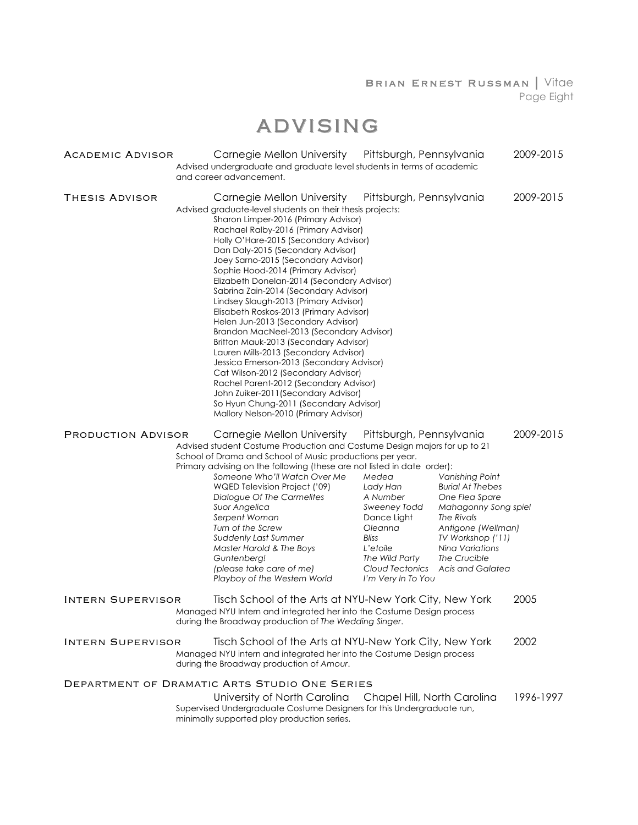#### Brian Ernest Russman | Vitae Page Eight

# ADVISING

| ACADEMIC ADVISOR                                                                                                                                          | Carnegie Mellon University<br>Pittsburgh, Pennsylvania<br>Advised undergraduate and graduate level students in terms of academic<br>and career advancement.                                                                                                                                                                                                                                                                                                                                                                                                                                                                                                                                                                                                                                                                                                                                                                               |                                                                                                                                                         | 2009-2015                                                                                                                                                                                            |           |
|-----------------------------------------------------------------------------------------------------------------------------------------------------------|-------------------------------------------------------------------------------------------------------------------------------------------------------------------------------------------------------------------------------------------------------------------------------------------------------------------------------------------------------------------------------------------------------------------------------------------------------------------------------------------------------------------------------------------------------------------------------------------------------------------------------------------------------------------------------------------------------------------------------------------------------------------------------------------------------------------------------------------------------------------------------------------------------------------------------------------|---------------------------------------------------------------------------------------------------------------------------------------------------------|------------------------------------------------------------------------------------------------------------------------------------------------------------------------------------------------------|-----------|
| THESIS ADVISOR                                                                                                                                            | Carnegie Mellon University<br>Advised graduate-level students on their thesis projects:<br>Sharon Limper-2016 (Primary Advisor)<br>Rachael Ralby-2016 (Primary Advisor)<br>Holly O'Hare-2015 (Secondary Advisor)<br>Dan Daly-2015 (Secondary Advisor)<br>Joey Sarno-2015 (Secondary Advisor)<br>Sophie Hood-2014 (Primary Advisor)<br>Elizabeth Donelan-2014 (Secondary Advisor)<br>Sabrina Zain-2014 (Secondary Advisor)<br>Lindsey Slaugh-2013 (Primary Advisor)<br>Elisabeth Roskos-2013 (Primary Advisor)<br>Helen Jun-2013 (Secondary Advisor)<br>Brandon MacNeel-2013 (Secondary Advisor)<br>Britton Mauk-2013 (Secondary Advisor)<br>Lauren Mills-2013 (Secondary Advisor)<br>Jessica Emerson-2013 (Secondary Advisor)<br>Cat Wilson-2012 (Secondary Advisor)<br>Rachel Parent-2012 (Secondary Advisor)<br>John Zuiker-2011 (Secondary Advisor)<br>So Hyun Chung-2011 (Secondary Advisor)<br>Mallory Nelson-2010 (Primary Advisor) | Pittsburgh, Pennsylvania                                                                                                                                |                                                                                                                                                                                                      | 2009-2015 |
| Carnegie Mellon University<br>Pittsburgh, Pennsylvania<br>PRODUCTION ADVISOR<br>Advised student Costume Production and Costume Design majors for up to 21 |                                                                                                                                                                                                                                                                                                                                                                                                                                                                                                                                                                                                                                                                                                                                                                                                                                                                                                                                           | 2009-2015                                                                                                                                               |                                                                                                                                                                                                      |           |
|                                                                                                                                                           | School of Drama and School of Music productions per year.<br>Primary advising on the following (these are not listed in date order):<br>Someone Who'll Watch Over Me<br>WQED Television Project ('09)<br>Dialogue Of The Carmelites<br>Suor Angelica<br>Serpent Woman<br>Turn of the Screw<br>Suddenly Last Summer<br>Master Harold & The Boys<br>Guntenberg!<br>(please take care of me)<br>Playboy of the Western World                                                                                                                                                                                                                                                                                                                                                                                                                                                                                                                 | Medea<br>Lady Han<br>A Number<br>Sweeney Todd<br>Dance Light<br>Oleanna<br>Bliss<br>L'etoile<br>The Wild Party<br>Cloud Tectonics<br>I'm Very In To You | Vanishing Point<br><b>Burial At Thebes</b><br>One Flea Spare<br>Mahagonny Song spiel<br>The Rivals<br>Antigone (Wellman)<br>TV Workshop ('11)<br>Nina Variations<br>The Crucible<br>Acis and Galatea |           |
| <b>INTERN SUPERVISOR</b>                                                                                                                                  | Tisch School of the Arts at NYU-New York City, New York<br>Managed NYU Intern and integrated her into the Costume Design process<br>during the Broadway production of The Wedding Singer.                                                                                                                                                                                                                                                                                                                                                                                                                                                                                                                                                                                                                                                                                                                                                 |                                                                                                                                                         |                                                                                                                                                                                                      | 2005      |
| INTERN SUPERVISOR                                                                                                                                         | Tisch School of the Arts at NYU-New York City, New York<br>Managed NYU intern and integrated her into the Costume Design process<br>during the Broadway production of Amour.                                                                                                                                                                                                                                                                                                                                                                                                                                                                                                                                                                                                                                                                                                                                                              |                                                                                                                                                         |                                                                                                                                                                                                      | 2002      |
|                                                                                                                                                           | DEPARTMENT OF DRAMATIC ARTS STUDIO ONE SERIES                                                                                                                                                                                                                                                                                                                                                                                                                                                                                                                                                                                                                                                                                                                                                                                                                                                                                             |                                                                                                                                                         |                                                                                                                                                                                                      |           |
|                                                                                                                                                           | University of North Carolina<br>Supervised Undergraduate Costume Designers for this Undergraduate run,<br>minimally supported play production series.                                                                                                                                                                                                                                                                                                                                                                                                                                                                                                                                                                                                                                                                                                                                                                                     | Chapel Hill, North Carolina                                                                                                                             |                                                                                                                                                                                                      | 1996-1997 |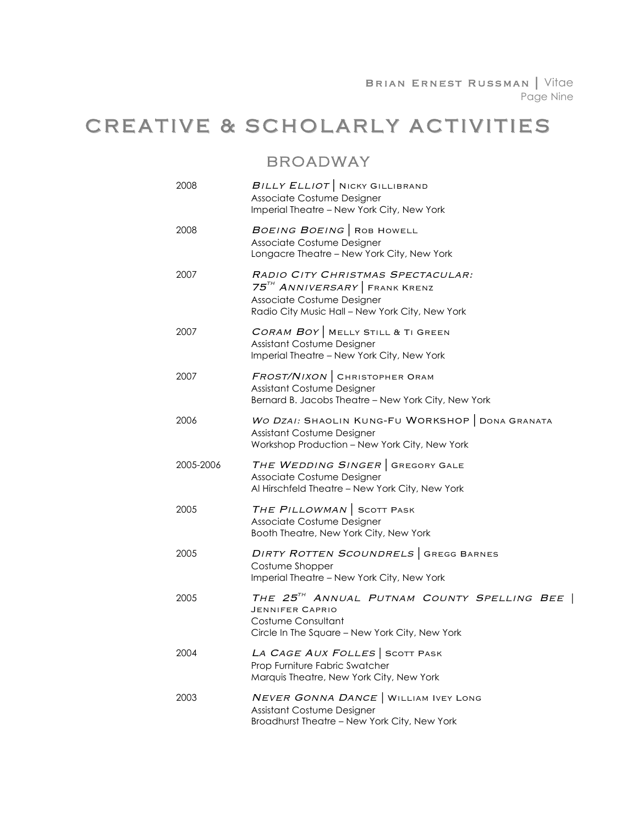# CREATIVE & SCHOLARLY ACTIVITIES

### BROADWAY

| 2008      | BILLY ELLIOT   NICKY GILLIBRAND<br>Associate Costume Designer<br>Imperial Theatre - New York City, New York                                                    |
|-----------|----------------------------------------------------------------------------------------------------------------------------------------------------------------|
| 2008      | BOEING BOEING   ROB HOWELL<br>Associate Costume Designer<br>Longacre Theatre - New York City, New York                                                         |
| 2007      | RADIO CITY CHRISTMAS SPECTACULAR:<br>75 <sup>TH</sup> ANNIVERSARY FRANK KRENZ<br>Associate Costume Designer<br>Radio City Music Hall - New York City, New York |
| 2007      | CORAM BOY   MELLY STILL & TI GREEN<br>Assistant Costume Designer<br>Imperial Theatre - New York City, New York                                                 |
| 2007      | FROST/NIXON   CHRISTOPHER ORAM<br>Assistant Costume Designer<br>Bernard B. Jacobs Theatre - New York City, New York                                            |
| 2006      | WO DZAI: SHAOLIN KUNG-FU WORKSHOP   DONA GRANATA<br>Assistant Costume Designer<br>Workshop Production - New York City, New York                                |
| 2005-2006 | THE WEDDING SINGER   GREGORY GALE<br>Associate Costume Designer<br>Al Hirschfeld Theatre - New York City, New York                                             |
| 2005      | THE PILLOWMAN SCOTT PASK<br>Associate Costume Designer<br>Booth Theatre, New York City, New York                                                               |
| 2005      | DIRTY ROTTEN SCOUNDRELS GREGG BARNES<br>Costume Shopper<br>Imperial Theatre - New York City, New York                                                          |
| 2005      | THE 25 <sup>TH</sup> ANNUAL PUTNAM COUNTY SPELLING BEE  <br><b>JENNIFER CAPRIO</b><br>Costume Consultant<br>Circle In The Square - New York City, New York     |
| 2004      | LA CAGE AUX FOLLES SCOTT PASK<br>Prop Furniture Fabric Swatcher<br>Marquis Theatre, New York City, New York                                                    |
| 2003      | NEVER GONNA DANCE   WILLIAM IVEY LONG<br>Assistant Costume Designer<br>Broadhurst Theatre - New York City, New York                                            |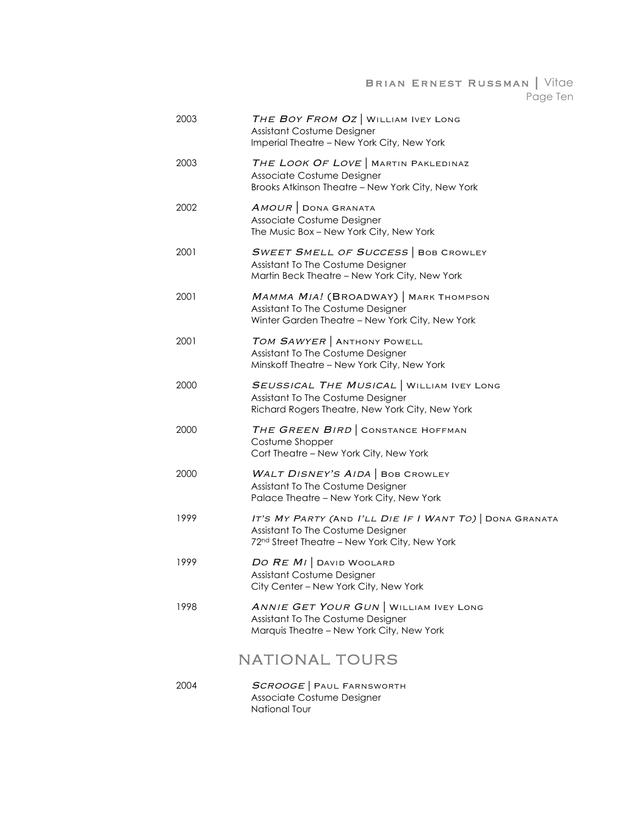#### Brian Ernest Russman | Vitae Page Ten

| 2003 | THE BOY FROM OZ   WILLIAM IVEY LONG<br>Assistant Costume Designer<br>Imperial Theatre - New York City, New York                              |
|------|----------------------------------------------------------------------------------------------------------------------------------------------|
| 2003 | THE LOOK OF LOVE   MARTIN PAKLEDINAZ<br>Associate Costume Designer<br>Brooks Atkinson Theatre - New York City, New York                      |
| 2002 | AMOUR DONA GRANATA<br>Associate Costume Designer<br>The Music Box - New York City, New York                                                  |
| 2001 | <b>SWEET SMELL OF SUCCESS   BOB CROWLEY</b><br>Assistant To The Costume Designer<br>Martin Beck Theatre - New York City, New York            |
| 2001 | MAMMA MIA! (BROADWAY)   MARK THOMPSON<br>Assistant To The Costume Designer<br>Winter Garden Theatre - New York City, New York                |
| 2001 | TOM SAWYER   ANTHONY POWELL<br>Assistant To The Costume Designer<br>Minskoff Theatre - New York City, New York                               |
| 2000 | SEUSSICAL THE MUSICAL   WILLIAM IVEY LONG<br>Assistant To The Costume Designer<br>Richard Rogers Theatre, New York City, New York            |
| 2000 | THE GREEN BIRD CONSTANCE HOFFMAN<br>Costume Shopper<br>Cort Theatre - New York City, New York                                                |
| 2000 | WALT DISNEY'S AIDA   BOB CROWLEY<br>Assistant To The Costume Designer<br>Palace Theatre - New York City, New York                            |
| 1999 | IT'S MY PARTY (AND I'LL DIE IF I WANT TO) DONA GRANATA<br>Assistant To The Costume Designer<br>72nd Street Theatre - New York City, New York |
| 1999 | DO RE MI DAVID WOOLARD<br>Assistant Costume Designer<br>City Center - New York City, New York                                                |
| 1998 | ANNIE GET YOUR GUN   WILLIAM IVEY LONG<br>Assistant To The Costume Designer<br>Marquis Theatre - New York City, New York                     |
|      | <b>NATIONAL TOURS</b>                                                                                                                        |
| 2004 | SCROOGE   PAUL FARNSWORTH<br>Associate Costume Designer                                                                                      |

National Tour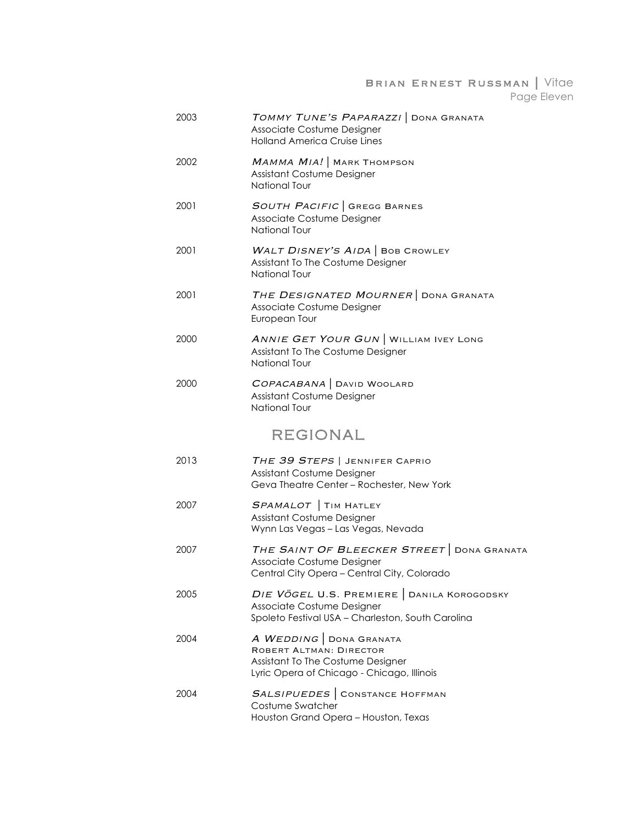#### Brian Ernest Russman | Vitae Page Eleven

| 2003 | TOMMY TUNE'S PAPARAZZI   DONA GRANATA<br>Associate Costume Designer<br><b>Holland America Cruise Lines</b>                           |
|------|--------------------------------------------------------------------------------------------------------------------------------------|
| 2002 | MAMMA MIA! MARK THOMPSON<br>Assistant Costume Designer<br>National Tour                                                              |
| 2001 | <b>SOUTH PACIFIC</b> GREGG BARNES<br>Associate Costume Designer<br>National Tour                                                     |
| 2001 | WALT DISNEY'S AIDA   BOB CROWLEY<br>Assistant To The Costume Designer<br>National Tour                                               |
| 2001 | THE DESIGNATED MOURNER DONA GRANATA<br>Associate Costume Designer<br>European Tour                                                   |
| 2000 | ANNIE GET YOUR GUN   WILLIAM IVEY LONG<br>Assistant To The Costume Designer<br>National Tour                                         |
| 2000 | COPACABANA   DAVID WOOLARD<br>Assistant Costume Designer<br>National Tour                                                            |
|      | <b>REGIONAL</b>                                                                                                                      |
| 2013 | THE 39 STEPS   JENNIFER CAPRIO<br>Assistant Costume Designer<br>Geva Theatre Center - Rochester, New York                            |
| 2007 | SPAMALOT   TIM HATLEY<br>Assistant Costume Designer<br>Wynn Las Vegas - Las Vegas, Nevada                                            |
| 2007 | THE SAINT OF BLEECKER STREET DONA GRANATA<br>Associate Costume Designer<br>Central City Opera - Central City, Colorado               |
| 2005 | DIE VÖGEL U.S. PREMIERE   DANILA KOROGODSKY<br>Associate Costume Designer<br>Spoleto Festival USA - Charleston, South Carolina       |
| 2004 | A WEDDING DONA GRANATA<br>ROBERT ALTMAN: DIRECTOR<br>Assistant To The Costume Designer<br>Lyric Opera of Chicago - Chicago, Illinois |
| 2004 | SALSIPUEDES CONSTANCE HOFFMAN<br>Costume Swatcher<br>Houston Grand Opera - Houston, Texas                                            |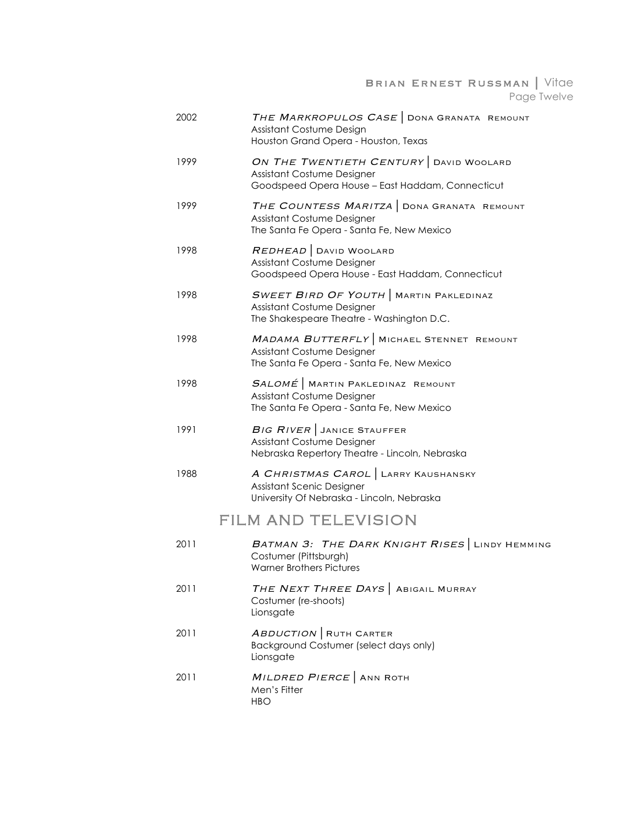Brian Ernest Russman | Vitae Page Twelve

| 2002 | THE MARKROPULOS CASE DONA GRANATA REMOUNT<br>Assistant Costume Design<br>Houston Grand Opera - Houston, Texas            |
|------|--------------------------------------------------------------------------------------------------------------------------|
| 1999 | ON THE TWENTIETH CENTURY DAVID WOOLARD<br>Assistant Costume Designer<br>Goodspeed Opera House - East Haddam, Connecticut |
| 1999 | THE COUNTESS MARITZA   DONA GRANATA REMOUNT<br>Assistant Costume Designer<br>The Santa Fe Opera - Santa Fe, New Mexico   |
| 1998 | REDHEAD   DAVID WOOLARD<br>Assistant Costume Designer<br>Goodspeed Opera House - East Haddam, Connecticut                |
| 1998 | <b>SWEET BIRD OF YOUTH</b> MARTIN PAKLEDINAZ<br>Assistant Costume Designer<br>The Shakespeare Theatre - Washington D.C.  |
| 1998 | MADAMA BUTTERFLY MICHAEL STENNET REMOUNT<br>Assistant Costume Designer<br>The Santa Fe Opera - Santa Fe, New Mexico      |
| 1998 | $SALOME$ MARTIN PAKLEDINAZ REMOUNT<br>Assistant Costume Designer<br>The Santa Fe Opera - Santa Fe, New Mexico            |
| 1991 | BIG RIVER JANICE STAUFFER<br>Assistant Costume Designer<br>Nebraska Repertory Theatre - Lincoln, Nebraska                |
| 1988 | A CHRISTMAS CAROL   LARRY KAUSHANSKY<br>Assistant Scenic Designer<br>University Of Nebraska - Lincoln, Nebraska          |
|      | <b>FILM AND TELEVISION</b>                                                                                               |
| 2011 | BATMAN 3: THE DARK KNIGHT RISES LINDY HEMMING<br>Costumer (Pittsburgh)<br><b>Warner Brothers Pictures</b>                |
| 2011 | THE NEXT THREE DAYS   ABIGAIL MURRAY<br>Costumer (re-shoots)<br>Lionsgate                                                |
| 2011 | <b>ABDUCTION</b> RUTH CARTER<br>Background Costumer (select days only)<br>Lionsgate                                      |
| 2011 | MILDRED PIERCE ANN ROTH<br>Men's Fitter<br><b>HBO</b>                                                                    |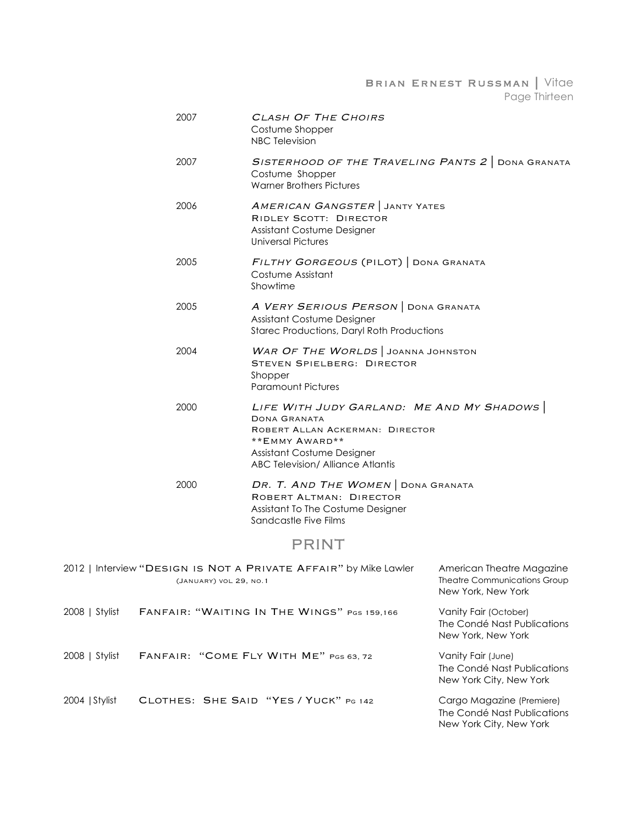Brian Ernest Russman | Vitae Page Thirteen

| 2007 | CLASH OF THE CHOIRS<br>Costume Shopper<br><b>NBC Television</b>                                                                                                                          |
|------|------------------------------------------------------------------------------------------------------------------------------------------------------------------------------------------|
| 2007 | SISTERHOOD OF THE TRAVELING PANTS 2 DONA GRANATA<br>Costume Shopper<br><b>Warner Brothers Pictures</b>                                                                                   |
| 2006 | <b>AMERICAN GANGSTER</b> JANTY YATES<br><b>RIDLEY SCOTT: DIRECTOR</b><br>Assistant Costume Designer<br>Universal Pictures                                                                |
| 2005 | FILTHY GORGEOUS (PILOT)   DONA GRANATA<br>Costume Assistant<br>Showtime                                                                                                                  |
| 2005 | A VERY SERIOUS PERSON   DONA GRANATA<br>Assistant Costume Designer<br><b>Starec Productions, Daryl Roth Productions</b>                                                                  |
| 2004 | WAR OF THE WORLDS JOANNA JOHNSTON<br><b>STEVEN SPIELBERG: DIRECTOR</b><br>Shopper<br><b>Paramount Pictures</b>                                                                           |
| 2000 | LIFE WITH JUDY GARLAND: ME AND MY SHADOWS<br>DONA GRANATA<br>ROBERT ALLAN ACKERMAN: DIRECTOR<br>**EMMY AWARD**<br>Assistant Costume Designer<br><b>ABC Television/ Alliance Atlantis</b> |
| 2000 | DR. T. AND THE WOMEN   DONA GRANATA<br>ROBERT ALTMAN: DIRECTOR<br>Assistant To The Costume Designer<br>Sandcastle Five Films                                                             |
|      | PRINT                                                                                                                                                                                    |

|                | 2012   Interview "DESIGN IS NOT A PRIVATE AFFAIR" by Mike Lawler<br>(JANUARY) VOL 29, NO.1 | American Theatre Magazine<br>Theatre Communications Group<br>New York, New York     |
|----------------|--------------------------------------------------------------------------------------------|-------------------------------------------------------------------------------------|
| 2008   Stylist | FANFAIR: "WAITING IN THE WINGS" PGS 159,166                                                | Vanity Fair (October)<br>The Condé Nast Publications<br>New York, New York          |
| 2008   Stylist | FANFAIR: "COME FLY WITH ME" PGS 63, 72                                                     | Vanity Fair (June)<br>The Condé Nast Publications<br>New York City, New York        |
| 2004 Stylist   | CLOTHES: SHE SAID "YES / YUCK" PG 142                                                      | Cargo Magazine (Premiere)<br>The Condé Nast Publications<br>New York City, New York |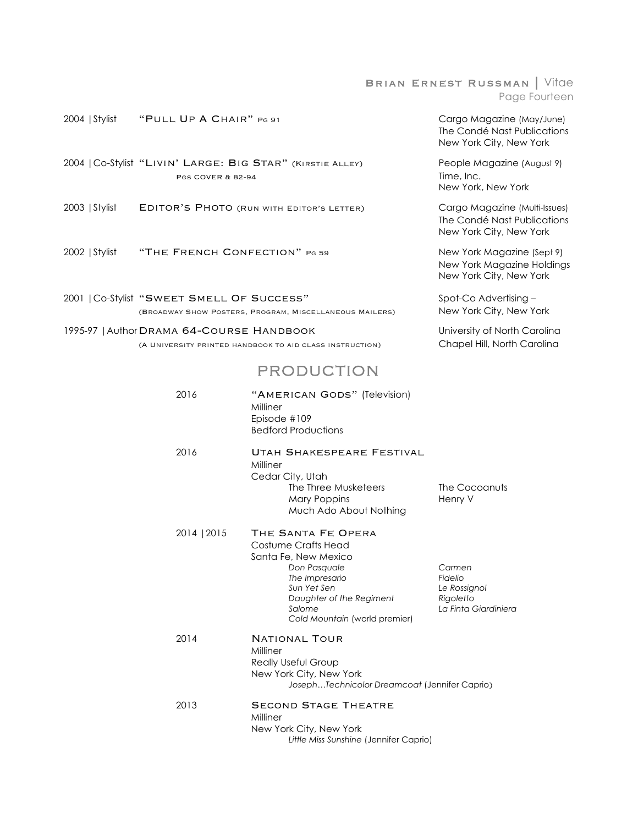#### Brian Ernest Russman | Vitae Page Fourteen

| 2004 Stylist | "PULL UP A CHAIR" PG 91 | Cargo Magazine (May/June)   |
|--------------|-------------------------|-----------------------------|
|              |                         | The Condé Nast Publications |
|              |                         |                             |

2004 |Co-Stylist "Livin' Large: Big Star" (Kirstie Alley) People Magazine (August 9) PGS COVER & 82-94 Time, Inc.

- 2003 | Stylist EDITOR'S PHOTO (RUN WITH EDITOR'S LETTER) Cargo Magazine (Multi-Issues)
- 2002 | Stylist "THE FRENCH CONFECTION" PG 59 New York Magazine (Sept 9)

2001 | Co-Stylist "SWEET SMELL OF SUCCESS" Spot-Co Advertising –<br>(BROADWAY SHOW POSTERS, PROGRAM, MISCELLANEOUS MAILERS) New York City, New York (BROADWAY SHOW POSTERS, PROGRAM, MISCELLANEOUS MAILERS)

1995-97 | Author DRAMA 64-COURSE HANDBOOK University of North Carolina (A University printed handbook to aid class instruction) Chapel Hill, North Carolina

### PRODUCTION

| 2016        | "AMERICAN GODS" (Television)<br>Milliner<br>Episode #109<br><b>Bedford Productions</b>                                                                                                    |                                                                        |
|-------------|-------------------------------------------------------------------------------------------------------------------------------------------------------------------------------------------|------------------------------------------------------------------------|
| 2016        | UTAH SHAKESPEARE FESTIVAL<br>Milliner<br>Cedar City, Utah<br>The Three Musketeers<br>Mary Poppins<br>Much Ado About Nothing                                                               | The Cocoanuts<br>Henry V                                               |
| 2014   2015 | THE SANTA FE OPERA<br>Costume Crafts Head<br>Santa Fe, New Mexico<br>Don Pasquale<br>The Impresario<br>Sun Yet Sen<br>Daughter of the Regiment<br>Salome<br>Cold Mountain (world premier) | Carmen<br>Fidelio<br>Le Rossignol<br>Rigoletto<br>La Finta Giardiniera |
| 2014        | NATIONAL TOUR<br>Milliner<br><b>Really Useful Group</b><br>New York City, New York<br>JosephTechnicolor Dreamcoat (Jennifer Caprio)                                                       |                                                                        |
| 2013        | <b>SECOND STAGE THEATRE</b><br>Milliner<br>New York City, New York<br>Little Miss Sunshine (Jennifer Caprio)                                                                              |                                                                        |

The Condé Nast Publications New York City, New York

New York, New York

The Condé Nast Publications New York City, New York

New York Magazine Holdings New York City, New York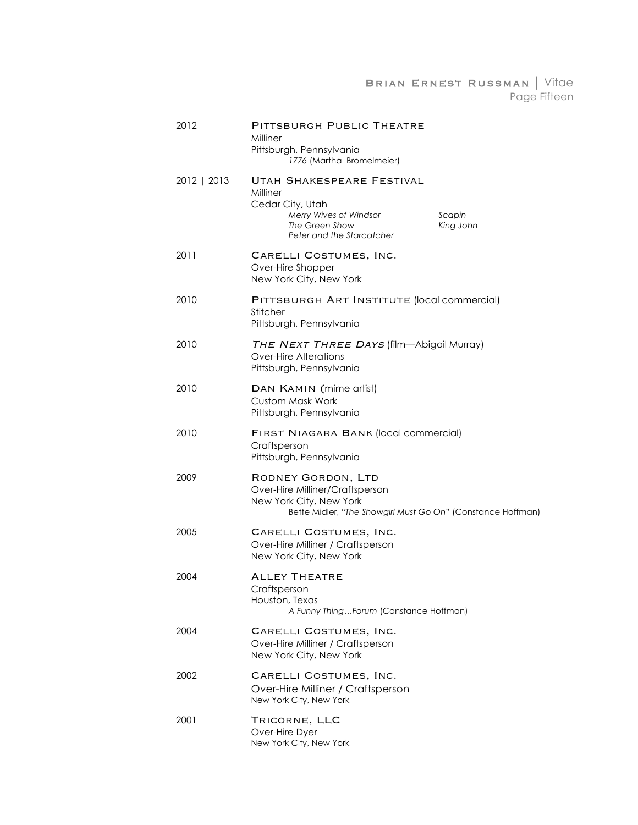#### Brian Ernest Russman | Vitae Page Fifteen

| 2012        | PITTSBURGH PUBLIC THEATRE<br>Milliner<br>Pittsburgh, Pennsylvania<br>1776 (Martha Bromelmeier)                                                            |
|-------------|-----------------------------------------------------------------------------------------------------------------------------------------------------------|
| 2012   2013 | UTAH SHAKESPEARE FESTIVAL<br>Milliner<br>Cedar City, Utah<br>Merry Wives of Windsor<br>Scapin<br>The Green Show<br>King John<br>Peter and the Starcatcher |
| 2011        | CARELLI COSTUMES, INC.<br>Over-Hire Shopper<br>New York City, New York                                                                                    |
| 2010        | PITTSBURGH ART INSTITUTE (local commercial)<br>Stitcher<br>Pittsburgh, Pennsylvania                                                                       |
| 2010        | THE NEXT THREE DAYS (film-Abigail Murray)<br><b>Over-Hire Alterations</b><br>Pittsburgh, Pennsylvania                                                     |
| 2010        | DAN KAMIN (mime artist)<br>Custom Mask Work<br>Pittsburgh, Pennsylvania                                                                                   |
| 2010        | FIRST NIAGARA BANK (local commercial)<br>Craftsperson<br>Pittsburgh, Pennsylvania                                                                         |
| 2009        | RODNEY GORDON, LTD<br>Over-Hire Milliner/Craftsperson<br>New York City, New York<br>Bette Midler, "The Showgirl Must Go On" (Constance Hoffman)           |
| 2005        | CARELLI COSTUMES, INC.<br>Over-Hire Milliner / Craftsperson<br>New York City, New York                                                                    |
| 2004        | <b>ALLEY THEATRE</b><br>Craftsperson<br>Houston, Texas<br>A Funny ThingForum (Constance Hoffman)                                                          |
| 2004        | CARELLI COSTUMES, INC.<br>Over-Hire Milliner / Craftsperson<br>New York City, New York                                                                    |
| 2002        | CARELLI COSTUMES, INC.<br>Over-Hire Milliner / Craftsperson<br>New York City, New York                                                                    |
| 2001        | TRICORNE, LLC<br>Over-Hire Dyer<br>New York City, New York                                                                                                |
|             |                                                                                                                                                           |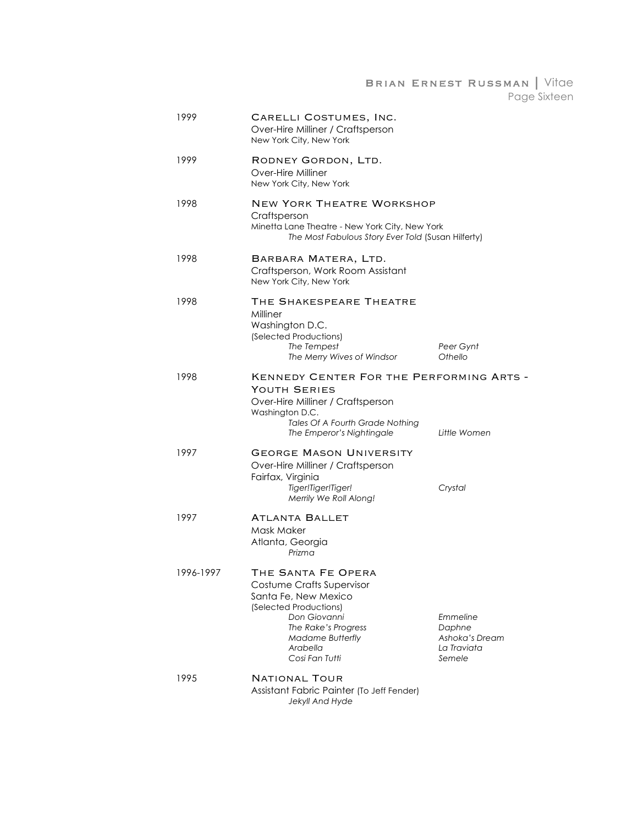Brian Ernest Russman | Vitae Page Sixteen

| 1999      | CARELLI COSTUMES, INC.<br>Over-Hire Milliner / Craftsperson<br>New York City, New York                                                                                                            |                                                               |
|-----------|---------------------------------------------------------------------------------------------------------------------------------------------------------------------------------------------------|---------------------------------------------------------------|
| 1999      | RODNEY GORDON, LTD.<br>Over-Hire Milliner<br>New York City, New York                                                                                                                              |                                                               |
| 1998      | <b>NEW YORK THEATRE WORKSHOP</b><br>Craftsperson<br>Minetta Lane Theatre - New York City, New York<br>The Most Fabulous Story Ever Told (Susan Hilferty)                                          |                                                               |
| 1998      | BARBARA MATERA, LTD.<br>Craftsperson, Work Room Assistant<br>New York City, New York                                                                                                              |                                                               |
| 1998      | THE SHAKESPEARE THEATRE<br>Milliner<br>Washington D.C.<br>(Selected Productions)<br>The Tempest<br>The Merry Wives of Windsor                                                                     | Peer Gynt<br>Othello                                          |
| 1998      | KENNEDY CENTER FOR THE PERFORMING ARTS -<br>YOUTH SERIES<br>Over-Hire Milliner / Craftsperson<br>Washington D.C.<br>Tales Of A Fourth Grade Nothing<br>The Emperor's Nightingale                  | Little Women                                                  |
| 1997      | GEORGE MASON UNIVERSITY<br>Over-Hire Milliner / Craftsperson<br>Fairfax, Virginia<br>Tiger!Tiger!Tiger!<br>Merrily We Roll Along!                                                                 | Crystal                                                       |
| 1997      | <b>ATLANTA BALLET</b><br>Mask Maker<br>Atlanta, Georgia<br>Prizma                                                                                                                                 |                                                               |
| 1996-1997 | THE SANTA FE OPERA<br>Costume Crafts Supervisor<br>Santa Fe, New Mexico<br>(Selected Productions)<br>Don Giovanni<br>The Rake's Progress<br><b>Madame Butterfly</b><br>Arabella<br>Cosi Fan Tutti | Emmeline<br>Daphne<br>Ashoka's Dream<br>La Traviata<br>Semele |
| 1995      | <b>NATIONAL TOUR</b><br>Assistant Fabric Painter (To Jeff Fender)<br>Jekyll And Hyde                                                                                                              |                                                               |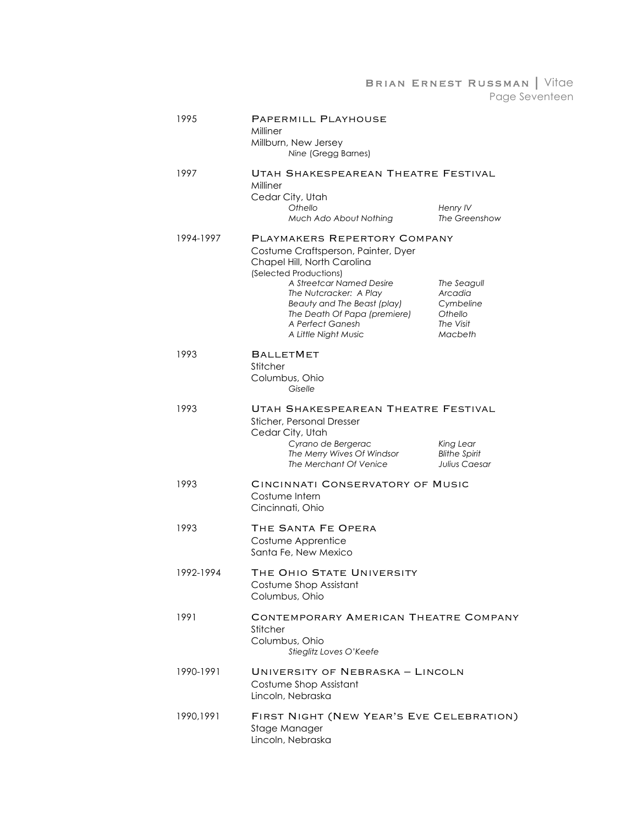#### Brian Ernest Russman | Vitae Page Seventeen

| 1995      | PAPERMILL PLAYHOUSE<br>Milliner<br>Millburn, New Jersey<br>Nine (Gregg Barnes)                                                                                                                                                                                                                |                                                                        |
|-----------|-----------------------------------------------------------------------------------------------------------------------------------------------------------------------------------------------------------------------------------------------------------------------------------------------|------------------------------------------------------------------------|
| 1997      | UTAH SHAKESPEAREAN THEATRE FESTIVAL<br>Milliner<br>Cedar City, Utah<br>Othello<br>Much Ado About Nothing                                                                                                                                                                                      | Henry IV<br>The Greenshow                                              |
| 1994-1997 | PLAYMAKERS REPERTORY COMPANY<br>Costume Craftsperson, Painter, Dyer<br>Chapel Hill, North Carolina<br>(Selected Productions)<br>A Streetcar Named Desire<br>The Nutcracker: A Play<br>Beauty and The Beast (play)<br>The Death Of Papa (premiere)<br>A Perfect Ganesh<br>A Little Night Music | The Seagull<br>Arcadia<br>Cymbeline<br>Othello<br>The Visit<br>Macbeth |
| 1993      | <b>BALLETMET</b><br>Stitcher<br>Columbus, Ohio<br>Giselle                                                                                                                                                                                                                                     |                                                                        |
| 1993      | UTAH SHAKESPEAREAN THEATRE FESTIVAL<br>Sticher, Personal Dresser<br>Cedar City, Utah<br>Cyrano de Bergerac<br>The Merry Wives Of Windsor<br>The Merchant Of Venice                                                                                                                            | King Lear<br><b>Blithe Spirit</b><br>Julius Caesar                     |
| 1993      | CINCINNATI CONSERVATORY OF MUSIC<br>Costume Intern<br>Cincinnati, Ohio                                                                                                                                                                                                                        |                                                                        |
| 1993      | THE SANTA FE OPERA<br>Costume Apprentice<br>Santa Fe, New Mexico                                                                                                                                                                                                                              |                                                                        |
| 1992-1994 | THE OHIO STATE UNIVERSITY<br>Costume Shop Assistant<br>Columbus, Ohio                                                                                                                                                                                                                         |                                                                        |
| 1991      | CONTEMPORARY AMERICAN THEATRE COMPANY<br>Stitcher<br>Columbus, Ohio<br>Stieglitz Loves O'Keefe                                                                                                                                                                                                |                                                                        |
| 1990-1991 | UNIVERSITY OF NEBRASKA - LINCOLN<br>Costume Shop Assistant<br>Lincoln, Nebraska                                                                                                                                                                                                               |                                                                        |
| 1990,1991 | FIRST NIGHT (NEW YEAR'S EVE CELEBRATION)<br>Stage Manager<br>Lincoln, Nebraska                                                                                                                                                                                                                |                                                                        |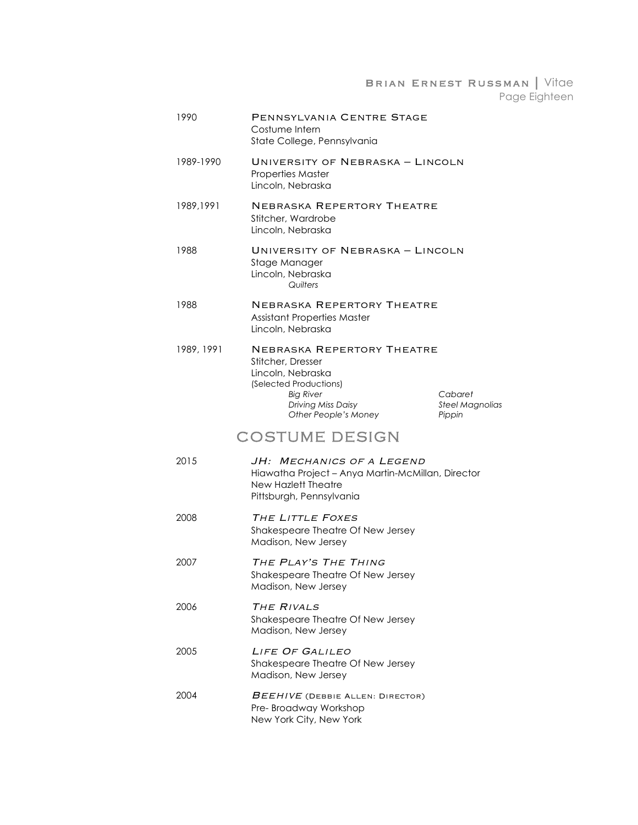Brian Ernest Russman | Vitae Page Eighteen

| 1990       | PENNSYLVANIA CENTRE STAGE<br>Costume Intern<br>State College, Pennsylvania                                                                                       |                                             |
|------------|------------------------------------------------------------------------------------------------------------------------------------------------------------------|---------------------------------------------|
| 1989-1990  | UNIVERSITY OF NEBRASKA - LINCOLN<br><b>Properties Master</b><br>Lincoln, Nebraska                                                                                |                                             |
| 1989,1991  | NEBRASKA REPERTORY THEATRE<br>Stitcher, Wardrobe<br>Lincoln, Nebraska                                                                                            |                                             |
| 1988       | UNIVERSITY OF NEBRASKA - LINCOLN<br>Stage Manager<br>Lincoln, Nebraska<br>Quilters                                                                               |                                             |
| 1988       | NEBRASKA REPERTORY THEATRE<br><b>Assistant Properties Master</b><br>Lincoln, Nebraska                                                                            |                                             |
| 1989, 1991 | NEBRASKA REPERTORY THEATRE<br>Stitcher, Dresser<br>Lincoln, Nebraska<br>(Selected Productions)<br><b>Big River</b><br>Driving Miss Daisy<br>Other People's Money | Cabaret<br><b>Steel Magnolias</b><br>Pippin |
|            | <b>COSTUME DESIGN</b>                                                                                                                                            |                                             |
| 2015       | JH: Mechanics of a Legend<br>Hiawatha Project - Anya Martin-McMillan, Director<br>New Hazlett Theatre<br>Pittsburgh, Pennsylvania                                |                                             |
| 2008       | THE LITTLE FOXES<br>Shakespeare Theatre Of New Jersey<br>Madison, New Jersey                                                                                     |                                             |
| 2007       | THE PLAY'S THE THING<br>Shakespeare Theatre Of New Jersey<br>Madison, New Jersey                                                                                 |                                             |
| 2006       | THE RIVALS<br>Shakespeare Theatre Of New Jersey<br>Madison, New Jersey                                                                                           |                                             |
| 2005       | LIFE OF GALILEO<br>Shakespeare Theatre Of New Jersey<br>Madison, New Jersey                                                                                      |                                             |
| 2004       | BEEHIVE (DEBBIE ALLEN: DIRECTOR)<br>Pre-Broadway Workshop<br>New York City, New York                                                                             |                                             |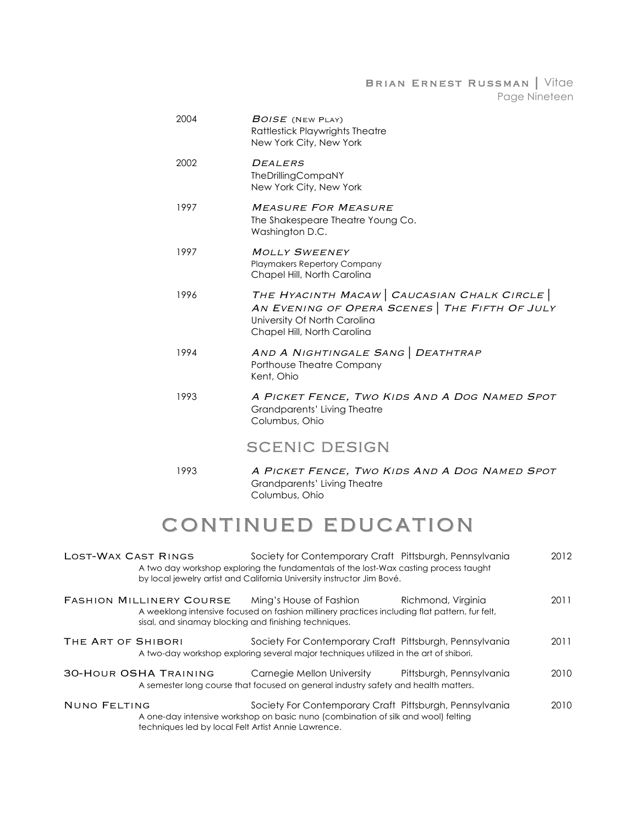Brian Ernest Russman | Vitae Page Nineteen

| 2004 | <b>BOISE</b> (NEW PLAY)<br>Rattlestick Playwrights Theatre<br>New York City, New York                                                                      |
|------|------------------------------------------------------------------------------------------------------------------------------------------------------------|
| 2002 | <b>DEALERS</b><br><b>TheDrillingCompaNY</b><br>New York City, New York                                                                                     |
| 1997 | <b>MEASURE FOR MEASURE</b><br>The Shakespeare Theatre Young Co.<br>Washington D.C.                                                                         |
| 1997 | <b>MOLLY SWEENEY</b><br><b>Playmakers Repertory Company</b><br>Chapel Hill, North Carolina                                                                 |
| 1996 | THE HYACINTH MACAW CAUCASIAN CHALK CIRCLE<br>AN EVENING OF OPERA SCENES   THE FIFTH OF JULY<br>University Of North Carolina<br>Chapel Hill, North Carolina |
| 1994 | AND A NIGHTINGALE SANG   DEATHTRAP<br>Porthouse Theatre Company<br>Kent, Ohio                                                                              |
| 1993 | A PICKET FENCE, TWO KIDS AND A DOG NAMED SPOT<br>Grandparents' Living Theatre<br>Columbus, Ohio                                                            |
|      | <b>SCENIC DESIGN</b>                                                                                                                                       |
| 1993 | A PICKET FENCE, TWO KIDS AND A DOG NAMED SPOT<br>Grandparents' Living Theatre                                                                              |

# CONTINUED EDUCATION

Columbus, Ohio

| LOST-WAX CAST RINGS |                                                                                          | Society for Contemporary Craft Pittsburgh, Pennsylvania<br>A two day workshop exploring the fundamentals of the lost-Wax casting process taught<br>by local jewelry artist and California University instructor Jim Bové. |                          | 2012 |
|---------------------|------------------------------------------------------------------------------------------|---------------------------------------------------------------------------------------------------------------------------------------------------------------------------------------------------------------------------|--------------------------|------|
|                     | <b>FASHION MILLINERY COURSE</b><br>sisal, and sinamay blocking and finishing techniques. | Ming's House of Fashion<br>A weeklong intensive focused on fashion millinery practices including flat pattern, fur felt,                                                                                                  | Richmond, Virginia       | 2011 |
| THE ART OF SHIBORI  |                                                                                          | Society For Contemporary Craft Pittsburgh, Pennsylvania<br>A two-day workshop exploring several major techniques utilized in the art of shibori.                                                                          |                          | 2011 |
|                     | <b>30-HOUR OSHA TRAINING</b>                                                             | Carnegie Mellon University<br>A semester long course that focused on general industry safety and health matters.                                                                                                          | Pittsburgh, Pennsylvania | 2010 |
| <b>NUNO FELTING</b> | techniques led by local Felt Artist Annie Lawrence.                                      | Society For Contemporary Craft Pittsburgh, Pennsylvania<br>A one-day intensive workshop on basic nuno (combination of silk and wool) felting                                                                              |                          | 2010 |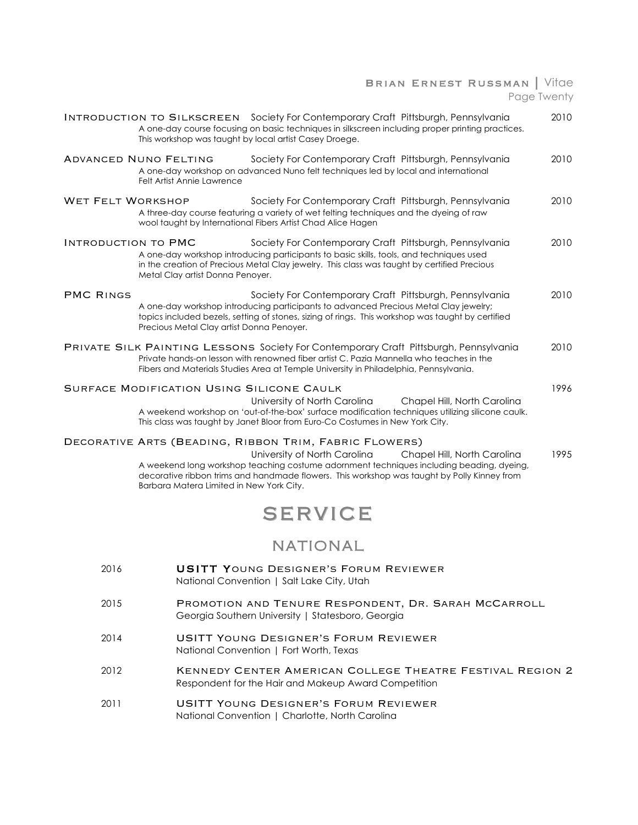### Brian Ernest Russman | Vitae Page Twenty

|                            | <b>INTRODUCTION TO SILKSCREEN</b> Society For Contemporary Craft Pittsburgh, Pennsylvania<br>A one-day course focusing on basic techniques in silkscreen including proper printing practices.<br>This workshop was taught by local artist Casey Droege.                                                                                                      | 2010 |
|----------------------------|--------------------------------------------------------------------------------------------------------------------------------------------------------------------------------------------------------------------------------------------------------------------------------------------------------------------------------------------------------------|------|
|                            | <b>ADVANCED NUNO FELTING</b><br>Society For Contemporary Craft Pittsburgh, Pennsylvania<br>A one-day workshop on advanced Nuno felt techniques led by local and international<br>Felt Artist Annie Lawrence                                                                                                                                                  | 2010 |
| WET FELT WORKSHOP          | Society For Contemporary Craft Pittsburgh, Pennsylvania<br>A three-day course featuring a variety of wet felting techniques and the dyeing of raw<br>wool taught by International Fibers Artist Chad Alice Hagen                                                                                                                                             | 2010 |
| <b>INTRODUCTION TO PMC</b> | Society For Contemporary Craft Pittsburgh, Pennsylvania<br>A one-day workshop introducing participants to basic skills, tools, and techniques used<br>in the creation of Precious Metal Clay jewelry. This class was taught by certified Precious<br>Metal Clay artist Donna Penoyer.                                                                        | 2010 |
| <b>PMC RINGS</b>           | Society For Contemporary Craft Pittsburgh, Pennsylvania<br>A one-day workshop introducing participants to advanced Precious Metal Clay jewelry;<br>topics included bezels, setting of stones, sizing of rings. This workshop was taught by certified<br>Precious Metal Clay artist Donna Penoyer.                                                            | 2010 |
|                            | <b>PRIVATE SILK PAINTING LESSONS Society For Contemporary Craft Pittsburgh, Pennsylvania</b><br>Private hands-on lesson with renowned fiber artist C. Pazia Mannella who teaches in the<br>Fibers and Materials Studies Area at Temple University in Philadelphia, Pennsylvania.                                                                             | 2010 |
|                            | SURFACE MODIFICATION USING SILICONE CAULK<br>University of North Carolina<br>Chapel Hill, North Carolina<br>A weekend workshop on 'out-of-the-box' surface modification techniques utilizing silicone caulk.<br>This class was taught by Janet Bloor from Euro-Co Costumes in New York City.                                                                 | 1996 |
|                            | DECORATIVE ARTS (BEADING, RIBBON TRIM, FABRIC FLOWERS)<br>University of North Carolina<br>Chapel Hill, North Carolina<br>A weekend long workshop teaching costume adornment techniques including beading, dyeing,<br>decorative ribbon trims and handmade flowers. This workshop was taught by Polly Kinney from<br>Barbara Matera Limited in New York City. | 1995 |
|                            | <b>SERVICE</b>                                                                                                                                                                                                                                                                                                                                               |      |
|                            | <b>NATIONAL</b>                                                                                                                                                                                                                                                                                                                                              |      |
| 2016                       | <b>USITT YOUNG DESIGNER'S FORUM REVIEWER</b><br>National Convention   Salt Lake City, Utah                                                                                                                                                                                                                                                                   |      |
| 2015                       | PROMOTION AND TENURE RESPONDENT, DR. SARAH MCCARROLL<br>Georgia Southern University   Statesboro, Georgia                                                                                                                                                                                                                                                    |      |
| 2014                       | <b>USITT YOUNG DESIGNER'S FORUM REVIEWER</b><br>National Convention   Fort Worth, Texas                                                                                                                                                                                                                                                                      |      |

- 2012 KENNEDY CENTER AMERICAN COLLEGE THEATRE FESTIVAL REGION 2 Respondent for the Hair and Makeup Award Competition
- 2011 USITT Young Designer's Forum Reviewer National Convention | Charlotte, North Carolina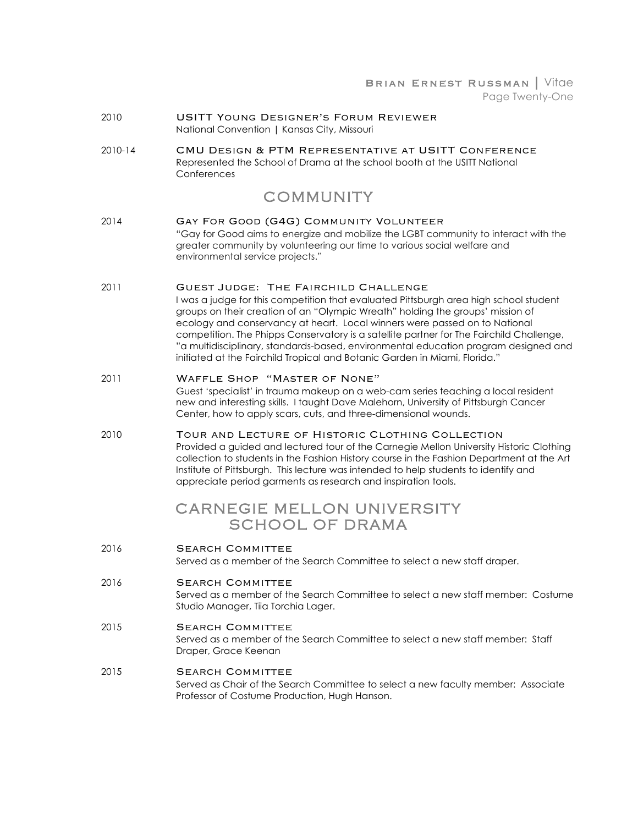#### Brian Ernest Russman | Vitae Page Twenty-One

- 2010 USITT Young Designer's Forum Reviewer National Convention | Kansas City, Missouri
- 2010-14 CMU Design & PTM Representative at USITT Conference Represented the School of Drama at the school booth at the USITT National **Conferences**

### COMMUNITY

- 2014 Gay For Good (G4G) Community Volunteer "Gay for Good aims to energize and mobilize the LGBT community to interact with the greater community by volunteering our time to various social welfare and environmental service projects."
- 2011 Guest Judge: The Fairchild Challenge I was a judge for this competition that evaluated Pittsburgh area high school student groups on their creation of an "Olympic Wreath" holding the groups' mission of ecology and conservancy at heart. Local winners were passed on to National competition. The Phipps Conservatory is a satellite partner for The Fairchild Challenge, "a multidisciplinary, standards-based, environmental education program designed and initiated at the Fairchild Tropical and Botanic Garden in Miami, Florida."
- 2011 Waffle Shop "Master of None" Guest 'specialist' in trauma makeup on a web-cam series teaching a local resident new and interesting skills. I taught Dave Malehorn, University of Pittsburgh Cancer Center, how to apply scars, cuts, and three-dimensional wounds.
- 2010 Tour and Lecture of Historic Clothing Collection Provided a guided and lectured tour of the Carnegie Mellon University Historic Clothing collection to students in the Fashion History course in the Fashion Department at the Art Institute of Pittsburgh. This lecture was intended to help students to identify and appreciate period garments as research and inspiration tools.

### CARNEGIE MELLON UNIVERSITY SCHOOL OF DRAMA

- 2016 **SEARCH COMMITTEE** Served as a member of the Search Committee to select a new staff draper.
- 2016 **SEARCH COMMITTEE** Served as a member of the Search Committee to select a new staff member: Costume Studio Manager, Tiia Torchia Lager.
- 2015 **SEARCH COMMITTEE** Served as a member of the Search Committee to select a new staff member: Staff Draper, Grace Keenan
- 2015 **SEARCH COMMITTEE** Served as Chair of the Search Committee to select a new faculty member: Associate Professor of Costume Production, Hugh Hanson.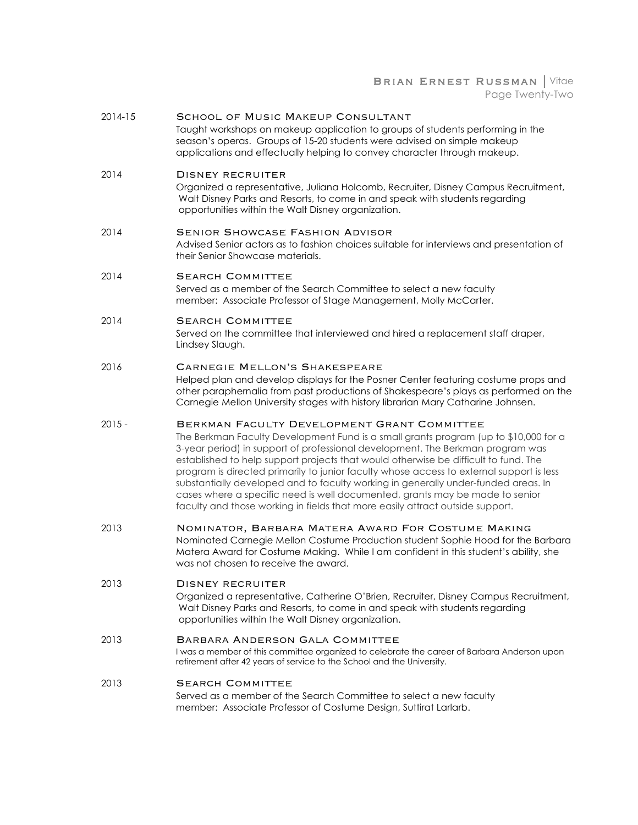#### BRIAN ERNEST RUSSMAN | Vitae Page Twenty-Two

| $2014 - 15$ | <b>SCHOOL OF MUSIC MAKEUP CONSULTANT</b><br>Taught workshops on makeup application to groups of students performing in the<br>season's operas. Groups of 15-20 students were advised on simple makeup<br>applications and effectually helping to convey character through makeup.                                                                                                                                                                                                                                                                                                                                                                               |
|-------------|-----------------------------------------------------------------------------------------------------------------------------------------------------------------------------------------------------------------------------------------------------------------------------------------------------------------------------------------------------------------------------------------------------------------------------------------------------------------------------------------------------------------------------------------------------------------------------------------------------------------------------------------------------------------|
| 2014        | DISNEY RECRUITER<br>Organized a representative, Juliana Holcomb, Recruiter, Disney Campus Recruitment,<br>Walt Disney Parks and Resorts, to come in and speak with students regarding<br>opportunities within the Walt Disney organization.                                                                                                                                                                                                                                                                                                                                                                                                                     |
| 2014        | <b>SENIOR SHOWCASE FASHION ADVISOR</b><br>Advised Senior actors as to fashion choices suitable for interviews and presentation of<br>their Senior Showcase materials.                                                                                                                                                                                                                                                                                                                                                                                                                                                                                           |
| 2014        | <b>SEARCH COMMITTEE</b><br>Served as a member of the Search Committee to select a new faculty<br>member: Associate Professor of Stage Management, Molly McCarter.                                                                                                                                                                                                                                                                                                                                                                                                                                                                                               |
| 2014        | <b>SEARCH COMMITTEE</b><br>Served on the committee that interviewed and hired a replacement staff draper,<br>Lindsey Slaugh.                                                                                                                                                                                                                                                                                                                                                                                                                                                                                                                                    |
| 2016        | <b>CARNEGIE MELLON'S SHAKESPEARE</b><br>Helped plan and develop displays for the Posner Center featuring costume props and<br>other paraphernalia from past productions of Shakespeare's plays as performed on the<br>Carnegie Mellon University stages with history librarian Mary Catharine Johnsen.                                                                                                                                                                                                                                                                                                                                                          |
| $2015 -$    | BERKMAN FACULTY DEVELOPMENT GRANT COMMITTEE<br>The Berkman Faculty Development Fund is a small grants program (up to \$10,000 for a<br>3-year period) in support of professional development. The Berkman program was<br>established to help support projects that would otherwise be difficult to fund. The<br>program is directed primarily to junior faculty whose access to external support is less<br>substantially developed and to faculty working in generally under-funded areas. In<br>cases where a specific need is well documented, grants may be made to senior<br>faculty and those working in fields that more easily attract outside support. |
| 2013        | NOMINATOR, BARBARA MATERA AWARD FOR COSTUME MAKING<br>Nominated Carnegie Mellon Costume Production student Sophie Hood for the Barbara<br>Matera Award for Costume Making. While I am confident in this student's ability, she<br>was not chosen to receive the award.                                                                                                                                                                                                                                                                                                                                                                                          |
| 2013        | DISNEY RECRUITER<br>Organized a representative, Catherine O'Brien, Recruiter, Disney Campus Recruitment,<br>Walt Disney Parks and Resorts, to come in and speak with students regarding<br>opportunities within the Walt Disney organization.                                                                                                                                                                                                                                                                                                                                                                                                                   |
| 2013        | BARBARA ANDERSON GALA COMMITTEE<br>I was a member of this committee organized to celebrate the career of Barbara Anderson upon<br>retirement after 42 years of service to the School and the University.                                                                                                                                                                                                                                                                                                                                                                                                                                                        |
| 2013        | <b>SEARCH COMMITTEE</b><br>Served as a member of the Search Committee to select a new faculty<br>member: Associate Professor of Costume Design, Suttirat Larlarb.                                                                                                                                                                                                                                                                                                                                                                                                                                                                                               |
|             |                                                                                                                                                                                                                                                                                                                                                                                                                                                                                                                                                                                                                                                                 |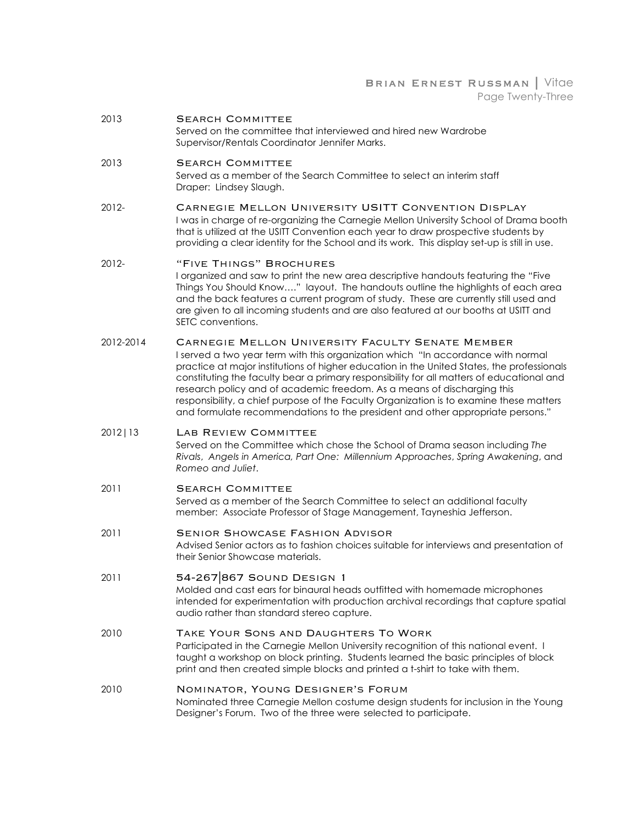BRIAN ERNEST RUSSMAN | Vitae Page Twenty-Three

2013 **SEARCH COMMITTEE** Served on the committee that interviewed and hired new Wardrobe

Supervisor/Rentals Coordinator Jennifer Marks.

#### 2013 **SEARCH COMMITTEE**

Served as a member of the Search Committee to select an interim staff Draper: Lindsey Slaugh.

2012- Carnegie Mellon University USITT Convention Display I was in charge of re-organizing the Carnegie Mellon University School of Drama booth that is utilized at the USITT Convention each year to draw prospective students by providing a clear identity for the School and its work. This display set-up is still in use.

#### 2012- "Five Things" Brochures

I organized and saw to print the new area descriptive handouts featuring the "Five Things You Should Know…." layout. The handouts outline the highlights of each area and the back features a current program of study. These are currently still used and are given to all incoming students and are also featured at our booths at USITT and SETC conventions.

2012-2014 Carnegie Mellon University Faculty Senate Member

I served a two year term with this organization which "In accordance with normal practice at major institutions of higher education in the United States, the professionals constituting the faculty bear a primary responsibility for all matters of educational and research policy and of academic freedom. As a means of discharging this responsibility, a chief purpose of the Faculty Organization is to examine these matters and formulate recommendations to the president and other appropriate persons."

#### 2012|13 Lab Review Committee

Served on the Committee which chose the School of Drama season including *The Rivals*, *Angels in America, Part One: Millennium Approaches*, *Spring Awakening*, and *Romeo and Juliet*.

#### 2011 **SEARCH COMMITTEE**

Served as a member of the Search Committee to select an additional faculty member: Associate Professor of Stage Management, Tayneshia Jefferson.

2011 Senior Showcase Fashion Advisor Advised Senior actors as to fashion choices suitable for interviews and presentation of their Senior Showcase materials.

#### 2011 54-267|867 Sound Design 1

Molded and cast ears for binaural heads outfitted with homemade microphones intended for experimentation with production archival recordings that capture spatial audio rather than standard stereo capture.

### 2010 TAKE YOUR SONS AND DAUGHTERS TO WORK<br>Participated in the Carnegie Mellon University recognition of this national event. I

taught a workshop on block printing. Students learned the basic principles of block print and then created simple blocks and printed a t-shirt to take with them.

#### 2010 Nominator, Young Designer's Forum

Nominated three Carnegie Mellon costume design students for inclusion in the Young Designer's Forum. Two of the three were selected to participate.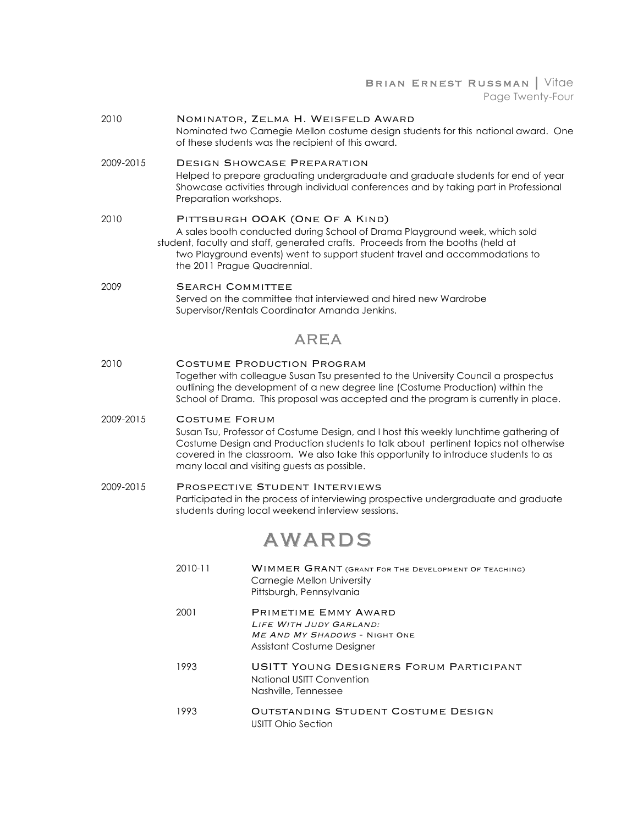#### Brian Ernest Russman | Vitae Page Twenty-Four

- 2010 Nominator, Zelma H. Weisfeld Award Nominated two Carnegie Mellon costume design students for this national award. One of these students was the recipient of this award. 2009-2015 Design Showcase Preparation Helped to prepare graduating undergraduate and graduate students for end of year Showcase activities through individual conferences and by taking part in Professional Preparation workshops. 2010 PITTSBURGH OOAK (ONE OF A KIND) A sales booth conducted during School of Drama Playground week, which sold student, faculty and staff, generated crafts. Proceeds from the booths (held at two Playground events) went to support student travel and accommodations to the 2011 Prague Quadrennial. 2009 **SEARCH COMMITTEE** Served on the committee that interviewed and hired new Wardrobe Supervisor/Rentals Coordinator Amanda Jenkins. AREA 2010 **COSTUME PRODUCTION PROGRAM** Together with colleague Susan Tsu presented to the University Council a prospectus outlining the development of a new degree line (Costume Production) within the School of Drama. This proposal was accepted and the program is currently in place. 2009-2015 Costume Forum Susan Tsu, Professor of Costume Design, and I host this weekly lunchtime gathering of Costume Design and Production students to talk about pertinent topics not otherwise covered in the classroom. We also take this opportunity to introduce students to as many local and visiting guests as possible. 2009-2015 Prospective Student Interviews Participated in the process of interviewing prospective undergraduate and graduate students during local weekend interview sessions. AWARDS 2010-11 Wimmer Grant (Grant For The Development Of Teaching) Carnegie Mellon University Pittsburgh, Pennsylvania 2001 PRIMETIME EMMY AWARD Life With Judy Garland: ME AND MY SHADOWS - NIGHT ONE Assistant Costume Designer 1993 USITT Young Designers Forum Participant National USITT Convention Nashville, Tennessee
	- 1993 OUTSTANDING STUDENT COSTUME DESIGN USITT Ohio Section